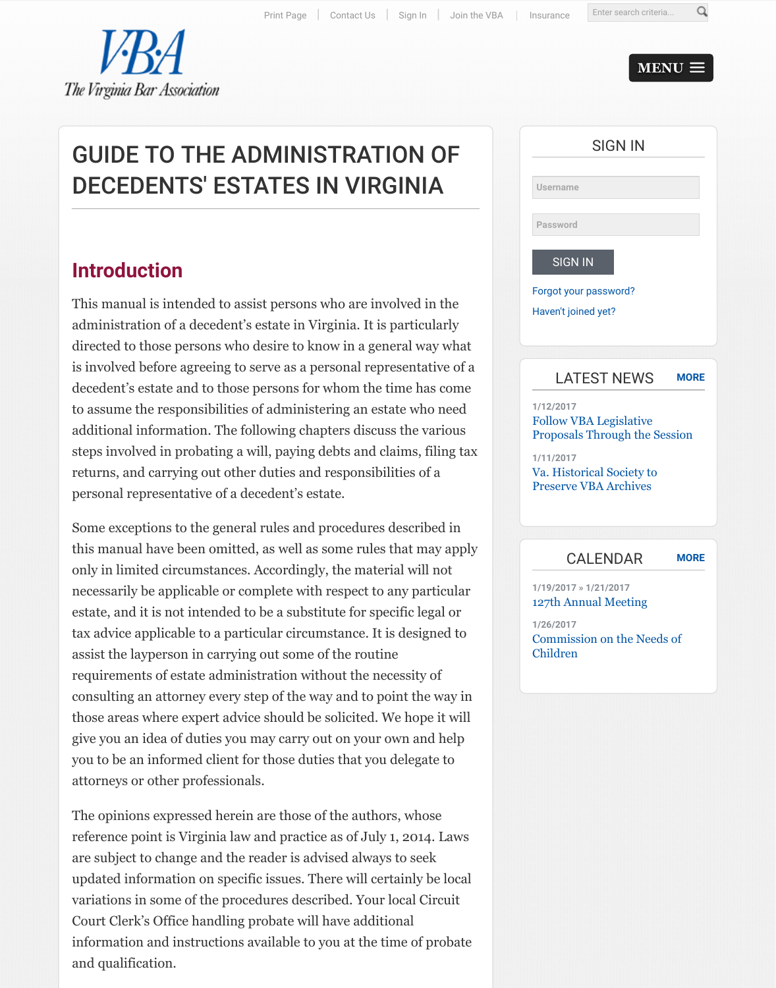[administration of a decedent's estate in Virginia. It is particularly](http://www.vba.org/?page=guide_estates#) directed to those persons who desire to know in a general way [what](http://www.vba.org/general/register_start.asp) [is involved before agreein](http://www.vba.org/)g to serve as a personal representative of a decedent's estate and to those persons for whom the time has come to assume the responsibilities of administering an estate who need additional information. The following chapters discuss the various steps involved in probating a will, paying debts and claims, filing tax returns, and carrying out other duties and responsibilities of a personal representative of a decedent's estate.

Some exceptions to the general rules and procedures described in this manual have been omitted, as well as some rules that may apply only in limited circumstances. Accordingly, the material will not necessarily be applicable or complete with respect to any particular estate, and it is not intended to be a substitute for specific legal or tax advice applicable to a particular circumstance. It is designed to assist the layperson in carrying out some of the routine requirements of estate administration without the necessity of consulting an attorney every step of the way and to point the way in those areas where expert advice should be solicited. We hope it will give you an idea of duties you may carry out on your own and help you to be an informed client for those duties that you delegate to attorneys or other professionals.

The opinions expressed herein are those of the authors, whose reference point is Virginia law and practice as of July 1, 2014. Laws are subject to change and the reader is advised always to seek updated information on specific issues. There will certainly be local variations in some of the procedures described. Your local Circuit Court Clerk's Office handling probate will have additional information and instructions available to you at the time of probate and qualification.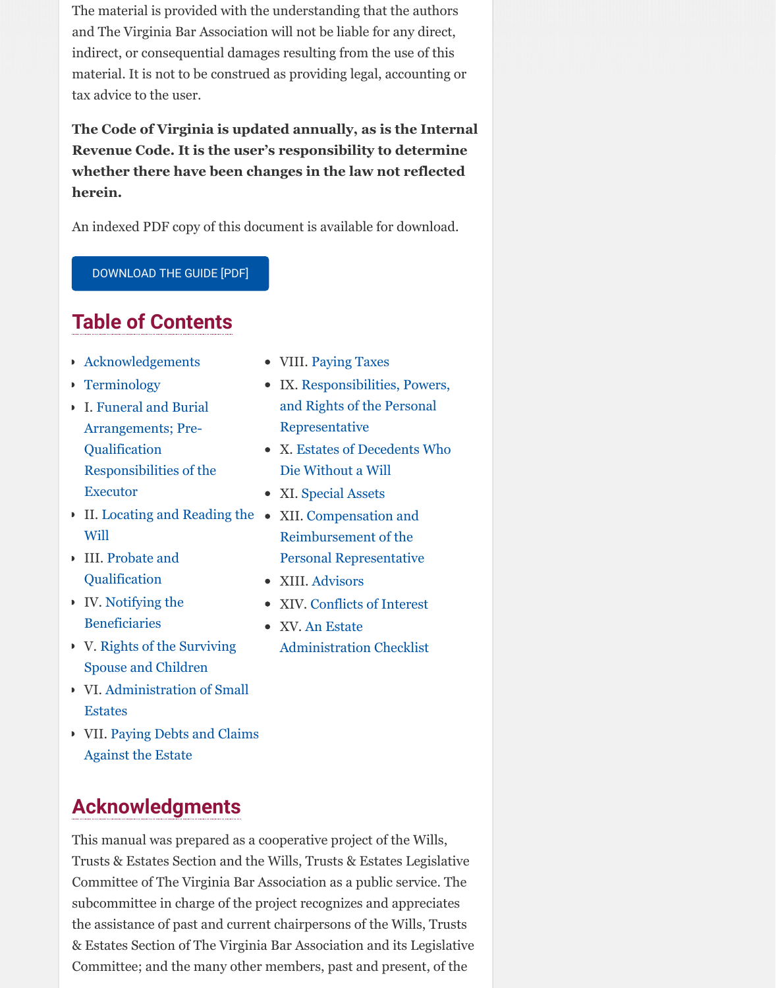#### **Table of Contents**

- Acknowledgements
- **Ferminology**
- I. Funeral and Burial Arrangements; Pre-Qualification Responsibilities of the Executor
- II. Locating and Reading the XII. Compensation and Will
- III. Probate and **Oualification**
- [IV. Notifying the](http://www.vba.org/resource/resmgr/Sections/VBA_2015_guide_to_administra.pdf) Beneficiaries
- V. Rights of the Surviving Spouse and Children
- [VI. Administration o](http://www.vba.org/?page=guide_estates#acknowledg)f Small **[Estates](http://www.vba.org/?page=guide_estates#terms)**
- VII. Paying Debts and Claims Against the Estate
- **[Acknowledgmen](http://www.vba.org/?page=guide_estates#funeral)ts**
- T[his manual was prepared as a](http://www.vba.org/?page=guide_estates#will) coo[perative project of the W](http://www.vba.org/?page=guide_estates#comp)ills, Trusts & Estates Section and the Wills, Trusts & Estates Legislative C[ommittee of The](http://www.vba.org/?page=guide_estates#probate) Virginia Bar Association as a public service. The subcommittee in charge of the project r[ecognizes](http://www.vba.org/?page=guide_estates#advisors) and appreciates t[he assistance of pa](http://www.vba.org/?page=guide_estates#beneficiaries)st and current chair[persons of the Wills,](http://www.vba.org/?page=guide_estates#conflicts) Trusts & Estates Section of The Virginia B[ar Association and its Leg](http://www.vba.org/?page=guide_estates#checklist)islative C[ommittee; and the many o](http://www.vba.org/?page=guide_estates#spouse)ther members, past and present, of the
- VIII. Paying Taxes
- IX. Responsibilities, Powers, and Rights of the Personal Representative
- X. Estates of Decedents Who Die Without a Will
- XI. Special Assets
- Reimbursement of the Personal Representative
- XIII. Advisors
- XIV. Conflicts of Interest
- XV. An Estate Administration Checklist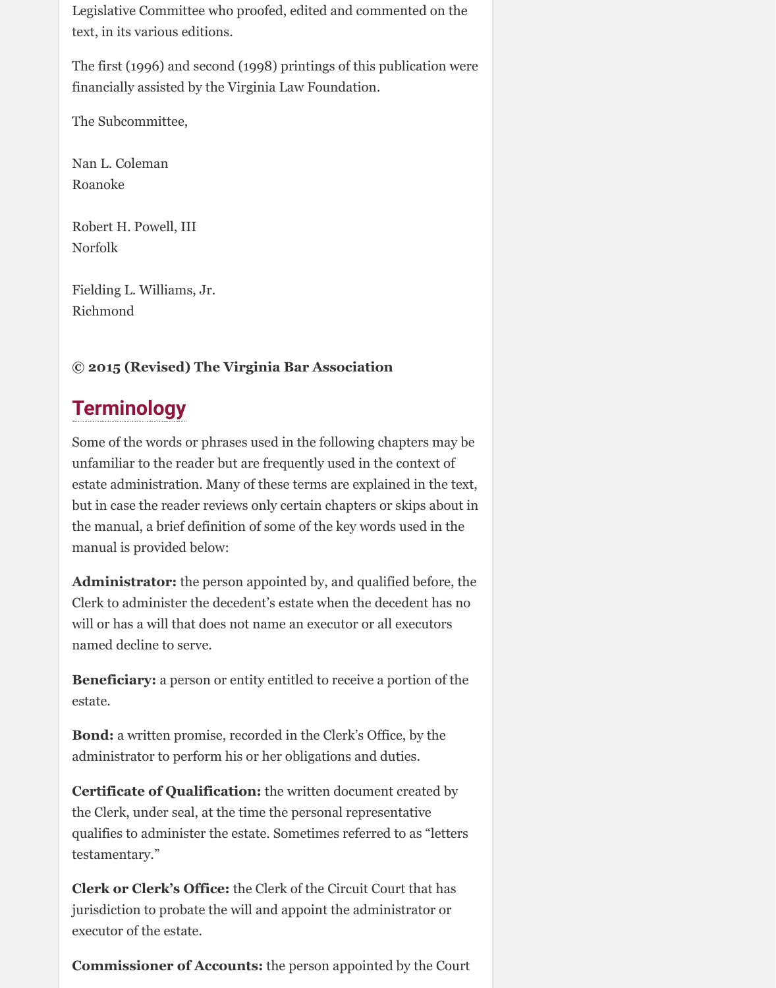Legislative Committee who proofed, edited and commented on the text, in its various editions.

The first (1996) and second (1998) printings of this publication were financially assisted by the Virginia Law Foundation.

The Subcommittee,

Nan L. Coleman Roanoke

Robert H. Powell, III Norfolk

Fielding L. Williams, Jr. Richmond

## **© 2015 (Revised) The Virginia Bar Association**

## **Terminology**

Some of the words or phrases used in the following chapters may be unfamiliar to the reader but are frequently used in the context of estate administration. Many of these terms are explained in the text, but in case the reader reviews only certain chapters or skips about in the manual, a brief definition of some of the key words used in the manual is provided below:

**Administrator:** the person appointed by, and qualified before, the Clerk to administer the decedent's estate when the decedent has no will or has a will that does not name an executor or all executors named decline to serve.

**Beneficiary:** a person or entity entitled to receive a portion of the estate.

**Bond:** a written promise, recorded in the Clerk's Office, by the administrator to perform his or her obligations and duties.

**Certificate of Qualification:** the written document created by the Clerk, under seal, at the time the personal representative qualifies to administer the estate. Sometimes referred to as "letters testamentary."

**Clerk or Clerk's Office:** the Clerk of the Circuit Court that has jurisdiction to probate the will and appoint the administrator or executor of the estate.

**Commissioner of Accounts:** the person appointed by the Court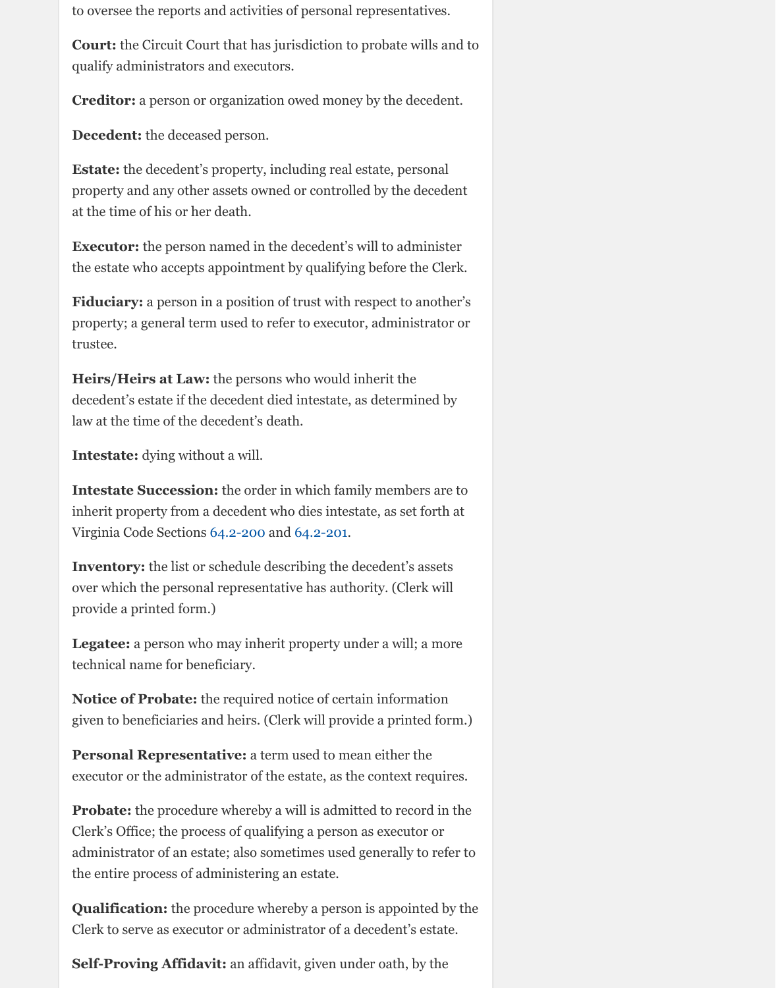property; a general term used to refer to executor, administrator or trustee.

**Heirs/Heirs at Law:** the persons who would inherit the decedent's estate if the decedent died intestate, as determined by law at the time of the decedent's death.

**Intestate:** dying without a will.

**Intestate Succession:** the order in which family members are to inherit property from a decedent who dies intestate, as set forth at Virginia Code Sections 64.2-200 and 64.2-201.

**Inventory:** the list or schedule describing the decedent's assets over which the personal representative has authority. (Clerk will provide a printed form.)

**Legatee:** a person who may inherit property under a will; a more technical name for beneficiary.

**Notice of Probate:** the required notice of certain information given to beneficiaries and heirs. (Clerk will provide a printed form.)

**Personal Representative:** a term used to mean either the executor or the administrator of the estate, as the context requires.

**Probate:** the procedure whereby a will is admitted to record in the Clerk's Office; the process of qualifying a person as executor or administrator of an est[ate; also s](http://law.lis.virginia.gov/vacode/title64.2/chapter2/section64.2-200/)ome[times use](http://law.lis.virginia.gov/vacode/title64.2/chapter2/section64.2-201/)d generally to refer to the entire process of administering an estate.

**Qualification:** the procedure whereby a person is appointed by the Clerk to serve as executor or administrator of a decedent's estate.

**Self-Proving Affidavit:** an affidavit, given under oath, by the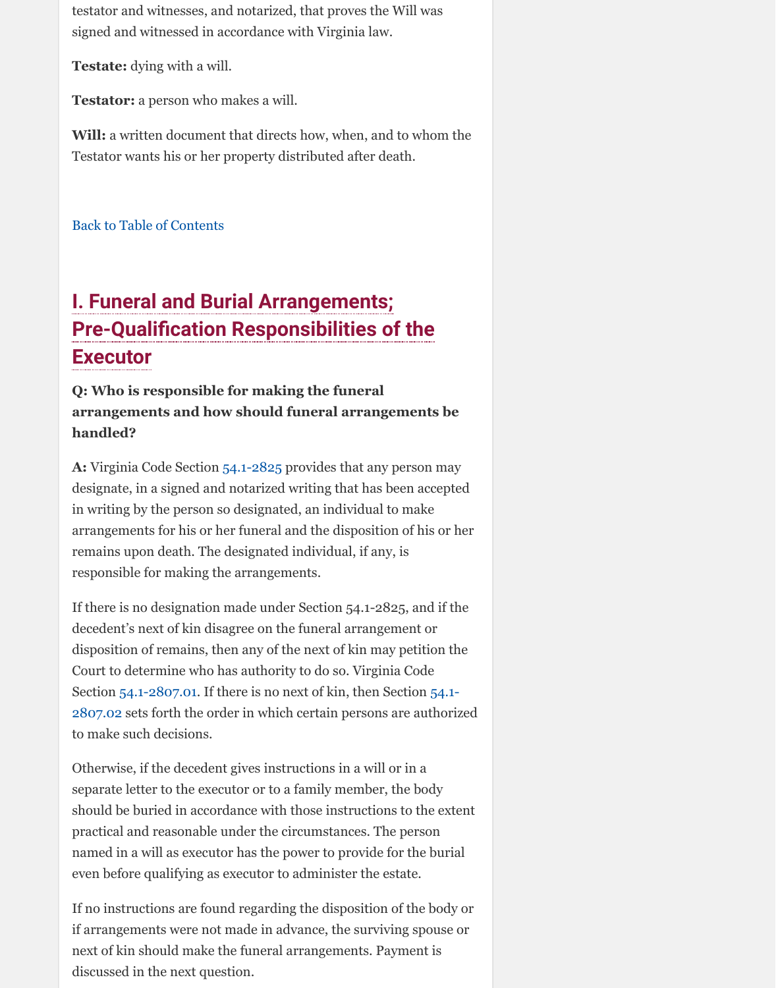## **Pre-Qualification Responsibilities of the Executor**

## **Q: Who is responsible for making the funeral arrangements and how should funeral arrangements be handled?**

**A:** Virginia Code Section 54.1-2825 provides that any person may designate, in a signed and notarized writing that has been accepted in writing by the person so designated, an individual to make arrangements for his or her funeral and the disposition of his or her [remains upon death. The d](http://www.vba.org/?page=guide_estates#contents)esignated individual, if any, is responsible for making the arrangements.

If there is no designation made under Section 54.1-2825, and if the decedent's next of kin disagree on the funeral arrangement or disposition of remains, then any of the next of kin may petition the Court to determine who has authority to do so. Virginia Code Section 54.1-2807.01. If there is no next of kin, then Section 54.1- 2807.02 sets forth the order in which certain persons are authorized to make such decisions.

Otherwise, if the decedent gives instructions in a will or in a separate letter to the exe[cutor or to](http://law.lis.virginia.gov/vacode/title54.1/chapter28/section54.1-2825/) a family member, the body should be buried in accordance with those instructions to the extent practical and reasonable under the circumstances. The person named in a will as executor has the power to provide for the burial even before qualifying as executor to administer the estate.

If no instructions are found regarding the disposition of the body or if arrangements were not made in advance, the surviving spouse or next of kin should make the funeral arrangements. Payment is discussed in the next question.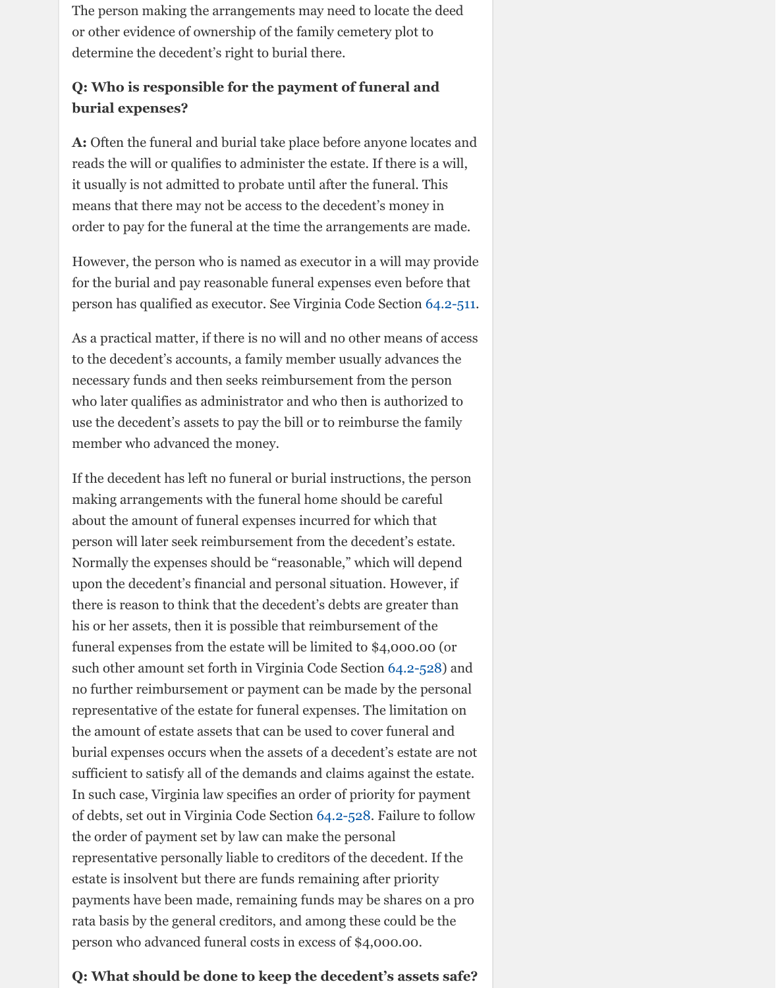As a practical matter, if there is no will and no other means of access to the decedent's accounts, a family member usually advances the necessary funds and then seeks reimbursement from the person who later qualifies as administrator and who then is authorized to use the decedent's assets to pay the bill or to reimburse the family member who advanced the money.

If the decedent has left no funeral or burial instructions, the person making arrangements with the funeral home should be careful about the amount of funeral expenses incurred for which that person will later seek reimbursement from the decedent's estate. Normally the expenses should be "reasonable," which will depend upon the decedent's financial and personal situation. However, if there is reason to think that the decedent's debts are greater than his or her assets, then it is possible that reimbursement of t[he](http://law.lis.virginia.gov/vacode/title64.2/chapter5/section64.2-511/) funeral expenses from the estate will be limited to \$4,000.00 (or such other amount set forth in Virginia Code Section 64.2-528) and no further reimbursement or payment can be made by the personal representative of the estate for funeral expenses. The limitation on the amount of estate assets that can be used to cover funeral and burial expenses occurs when the assets of a decedent's estate are not sufficient to satisfy all of the demands and claims against the estate. In such case, Virginia law specifies an order of priority for payment of debts, set out in Virginia Code Section 64.2-528. Failure to follow the order of payment set by law can make the personal representative personally liable to creditors of the decedent. If the estate is insolvent but there are funds remaining after priority payments have been made, remaining funds may be shares on a pro rata basis by the general creditors, and among these could be the person who advanced funeral costs in excess of \$4,000.00.

#### **Q: What should be done to keep the decedent'[s assets](http://law.lis.virginia.gov/vacode/title64.2/chapter5/section64.2-528/) safe?**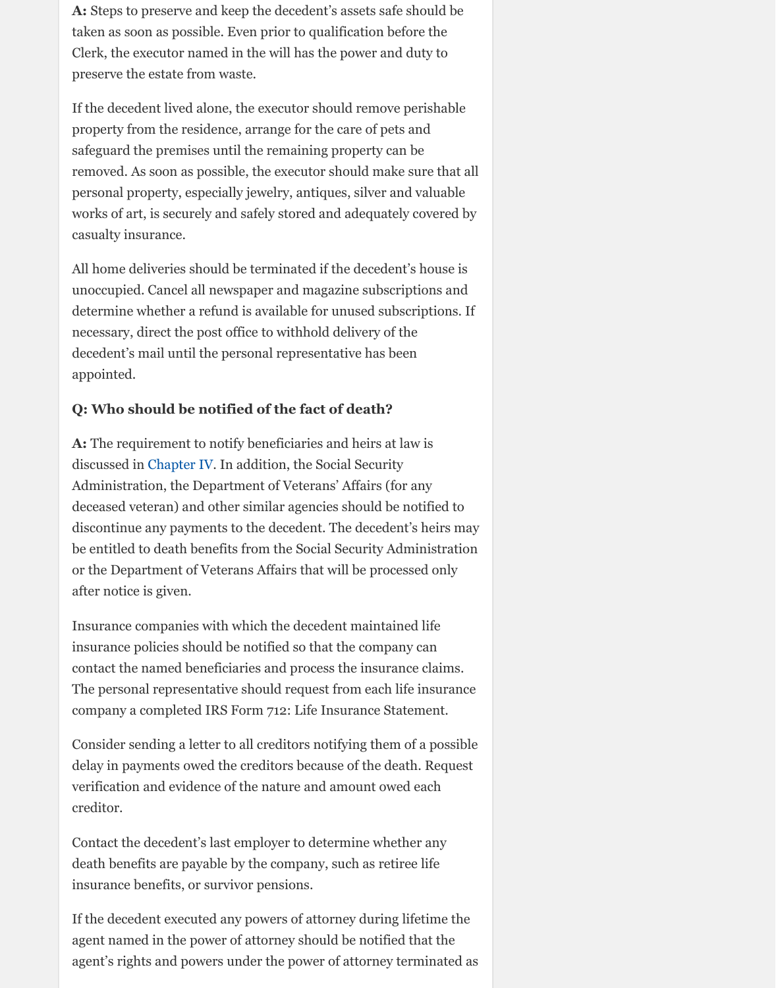necessary, direct the post office to withhold delivery of the decedent's mail until the personal representative has been appointed.

## **Q: Who should be notified of the fact of death?**

**A:** The requirement to notify beneficiaries and heirs at law is discussed in Chapter IV. In addition, the Social Security Administration, the Department of Veterans' Affairs (for any deceased veteran) and other similar agencies should be notified to discontinue any payments to the decedent. The decedent's heirs may be entitled to death benefits from the Social Security Administration or the Department of Veterans Affairs that will be processed only after notice is given.

Insurance companies with which the decedent maintained life insurance policies should be notified so that the company can contact the named beneficiaries and process the insurance claims. The personal representative should request from each life insurance company a completed IRS Form 712: Life Insurance Statement.

Consider sending a letter to all creditors notifying them of a possible delay in payments owed the creditors because of the death. Request verification [and evidenc](http://www.vba.org/?page=guide_estates#beneficiaries)e of the nature and amount owed each creditor.

Contact the decedent's last employer to determine whether any death benefits are payable by the company, such as retiree life insurance benefits, or survivor pensions.

If the decedent executed any powers of attorney during lifetime the agent named in the power of attorney should be notified that the agent's rights and powers under the power of attorney terminated as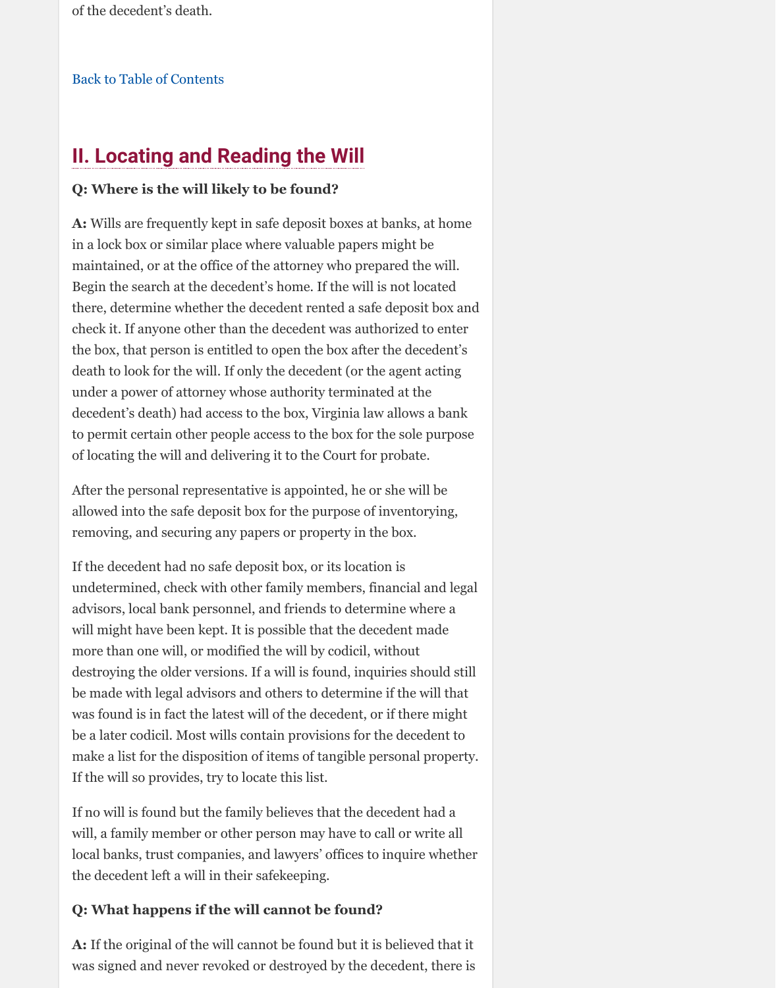check it. If anyone other than the decedent was authorized to enter the box, that person is entitled to open the box after the decedent's death to look for the will. If only the decedent (or the agent acting [under a power of attorney](http://www.vba.org/?page=guide_estates#contents) whose authority terminated at the decedent's death) had access to the box, Virginia law allows a bank to permit certain other people access to the box for the sole purpose of locating the will and delivering it to the Court for probate.

After the personal representative is appointed, he or she will be allowed into the safe deposit box for the purpose of inventorying, removing, and securing any papers or property in the box.

If the decedent had no safe deposit box, or its location is undetermined, check with other family members, financial and legal advisors, local bank personnel, and friends to determine where a will might have been kept. It is possible that the decedent made more than one will, or modified the will by codicil, without destroying the older versions. If a will is found, inquiries should still be made with legal advisors and others to determine if the will that was found is in fact the latest will of the decedent, or if there might be a later codicil. Most wills contain provisions for the decedent to make a list for the disposition of items of tangible personal property. If the will so provides, try to locate this list.

If no will is found but the family believes that the decedent had a will, a family member or other person may have to call or write all local banks, trust companies, and lawyers' offices to inquire whether the decedent left a will in their safekeeping.

## **Q: What happens if the will cannot be found?**

**A:** If the original of the will cannot be found but it is believed that it was signed and never revoked or destroyed by the decedent, there is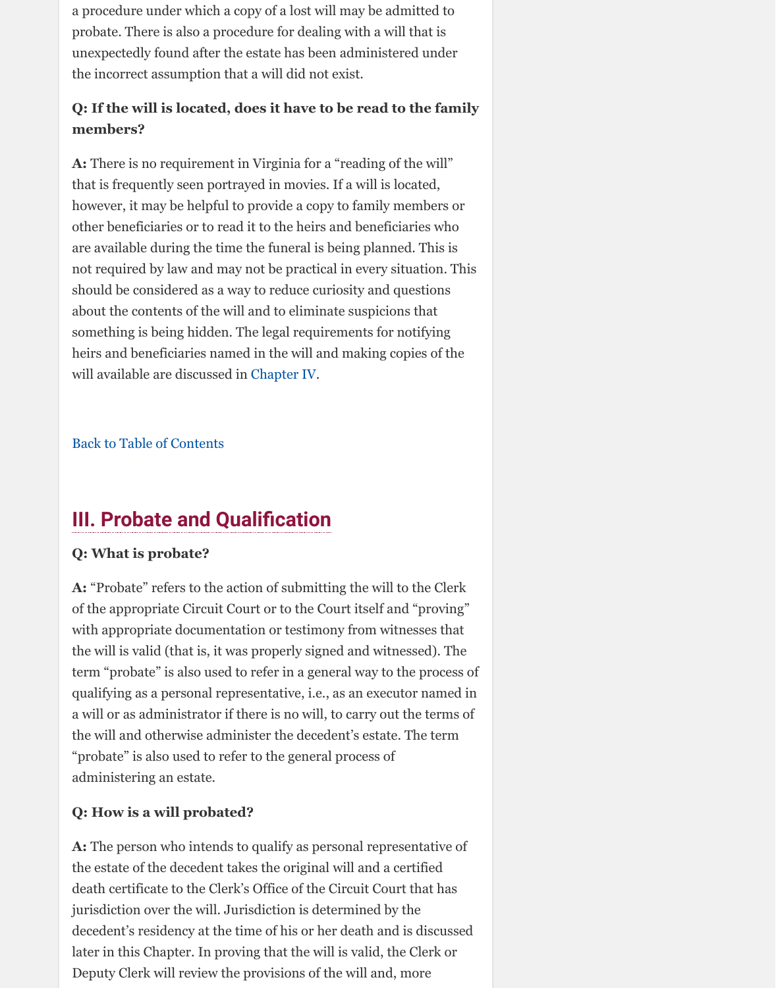something is being hidden. The legal requirements for notifying heirs and beneficiaries named in the will and making copies of the will available are discussed in Chapter IV.

Back to Table of Contents

## **III. Probate and Qualification**

### **Q: What is probate?**

**A:** "Probate" refers to the action of submitting the will to the Clerk of the appropriate Circuit Court or to the Court itself and "proving" with appropriate documentation or testimony from witnesses that the will is valid (that is, it was properly signed and witnessed). The term "probate" is also used to refer in a general way to the process of qualifying as a personal repre[sentative, i.e](http://www.vba.org/?page=guide_estates#beneficiaries)., as an executor named in a will or as administrator if there is no will, to carry out the terms of the will and otherwise administer the decedent's estate. The term ["probate" is also used to r](http://www.vba.org/?page=guide_estates#contents)efer to the general process of administering an estate.

### **Q: How is a will probated?**

**A:** The person who intends to qualify as personal representative of the estate of the decedent takes the original will and a certified death certificate to the Clerk's Office of the Circuit Court that has jurisdiction over the will. Jurisdiction is determined by the decedent's residency at the time of his or her death and is discussed later in this Chapter. In proving that the will is valid, the Clerk or Deputy Clerk will review the provisions of the will and, more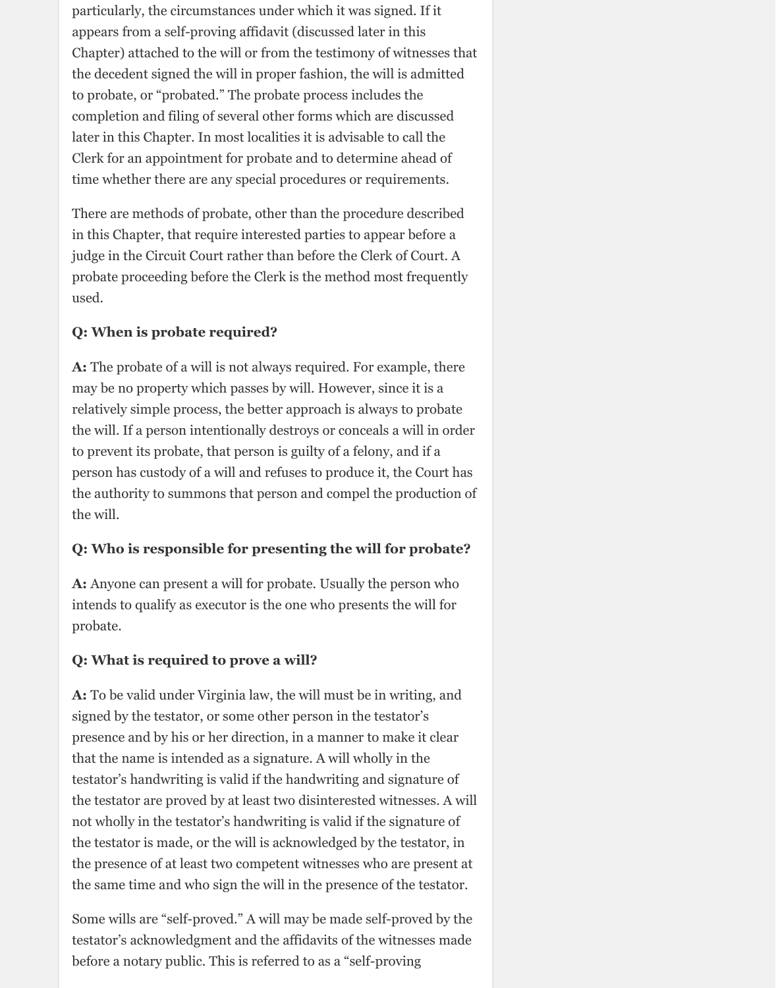particularly, the circumstances under which it was signed. If it appears from a self-proving affidavit (discussed later in this Chapter) attached to the will or from the testimony of witnesses that the decedent signed the will in proper fashion, the will is admitted to probate, or "probated." The probate process includes the completion and filing of several other forms which are discussed later in this Chapter. In most localities it is advisable to call the Clerk for an appointment for probate and to determine ahead of time whether there are any special procedures or requirements.

There are methods of probate, other than the procedure described in this Chapter, that require interested parties to appear before a judge in the Circuit Court rather than before the Clerk of Court. A probate proceeding before the Clerk is the method most frequently used.

#### **Q: When is probate required?**

**A:** The probate of a will is not always required. For example, there may be no property which passes by will. However, since it is a relatively simple process, the better approach is always to probate the will. If a person intentionally destroys or conceals a will in order to prevent its probate, that person is guilty of a felony, and if a person has custody of a will and refuses to produce it, the Court has the authority to summons that person and compel the production of the will.

### **Q: Who is responsible for presenting the will for probate?**

**A:** Anyone can present a will for probate. Usually the person who intends to qualify as executor is the one who presents the will for probate.

### **Q: What is required to prove a will?**

**A:** To be valid under Virginia law, the will must be in writing, and signed by the testator, or some other person in the testator's presence and by his or her direction, in a manner to make it clear that the name is intended as a signature. A will wholly in the testator's handwriting is valid if the handwriting and signature of the testator are proved by at least two disinterested witnesses. A will not wholly in the testator's handwriting is valid if the signature of the testator is made, or the will is acknowledged by the testator, in the presence of at least two competent witnesses who are present at the same time and who sign the will in the presence of the testator.

Some wills are "self-proved." A will may be made self-proved by the testator's acknowledgment and the affidavits of the witnesses made before a notary public. This is referred to as a "self-proving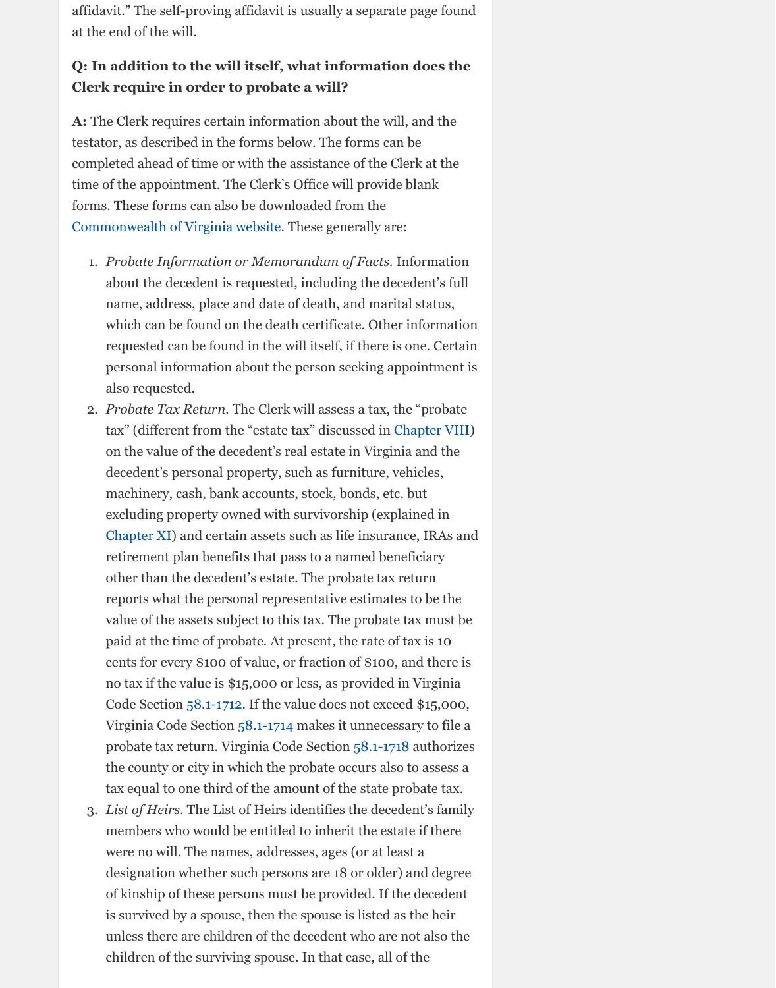- which can be found on the death certificate. Other information requested can be found in the will itself, if there is one. Certain personal information about the person seeking appointment is also requested.
- 2. *Probate Tax Return.* The Clerk will assess a tax, the "probate tax" (different from the "estate tax" discussed in Chapter VIII) on the value of the decedent's real estate in Virginia and the decedent's personal property, such as furniture, vehicles, machinery, cash, bank accounts, stock, bonds, etc. but excluding property owned with survivorship (explained in Chapter XI) and certain assets such as life insurance, IRAs and [retirement plan benefits that p](http://www.courts.state.va.us/forms/circuit/fiduciary.html)ass to a named beneficiary other than the decedent's estate. The probate tax return reports what the personal representative estimates to be the value of the assets subject to this tax. The probate tax must be paid at the time of probate. At present, the rate of tax is 10 cents for every \$100 of value, or fraction of \$100, and there is no tax if the value is \$15,000 or less, as provided in Virginia Code Section 58.1-1712. If the value does not exceed \$15,000, Virginia Code Section 58.1-1714 makes it unnecessary to file a probate tax return. Virginia Code Section 58.1-1[718 authorizes](http://www.vba.org/?page=guide_estates#taxes) the county or city in which the probate occurs also to assess a tax equal to one third of the amount of the state probate tax.
- 3. *List of Heirs.* The List of Heirs identifies the decedent's family members who would be entitled to inherit the estate if there [were no wil](http://www.vba.org/?page=guide_estates#assets)l. The names, addresses, ages (or at least a designation whether such persons are 18 or older) and degree of kinship of these persons must be provided. If the decedent is survived by a spouse, then the spouse is listed as the heir unless there are children of the decedent who are not also the children of the surviving spouse. In that case, all of the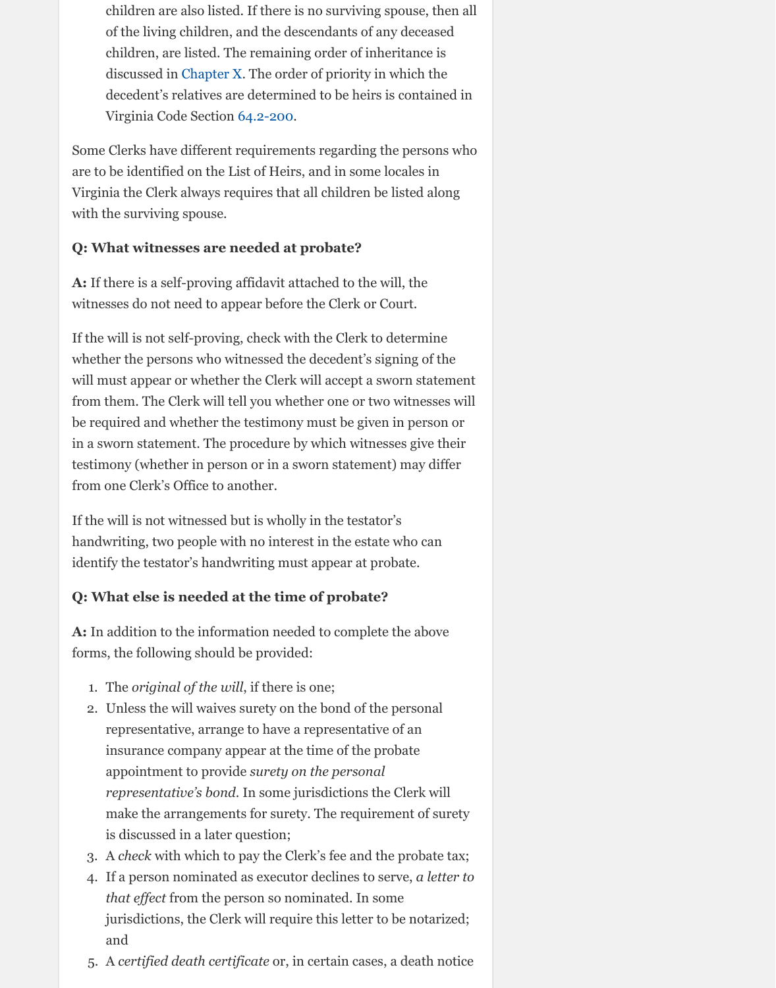If the will is not self-proving, check with the Clerk to determine whether the persons who witnessed the decedent's signing of the will must appear or whether the Clerk will accept a sworn statement from them. The Cl[erk will tel](http://www.vba.org/?page=guide_estates#nowill)l you whether one or two witnesses will be required and whether the testimony must be given in person or in a sworn statement. The p[rocedure b](http://law.lis.virginia.gov/vacode/title64.2/chapter2/section64.2-200/)y which witnesses give their testimony (whether in person or in a sworn statement) may differ from one Clerk's Office to another.

If the will is not witnessed but is wholly in the testator's handwriting, two people with no interest in the estate who can identify the testator's handwriting must appear at probate.

## **Q: What else is needed at the time of probate?**

**A:** In addition to the information needed to complete the above forms, the following should be provided:

- 1. The *original of the will*, if there is one;
- 2. Unless the will waives surety on the bond of the personal representative, arrange to have a representative of an insurance company appear at the time of the probate appointment to provide *surety on the personal representative's bond*. In some jurisdictions the Clerk will make the arrangements for surety. The requirement of surety is discussed in a later question;
- 3. A *check* with which to pay the Clerk's fee and the probate tax;
- 4. If a person nominated as executor declines to serve, *a letter to that effect* from the person so nominated. In some jurisdictions, the Clerk will require this letter to be notarized; and
- 5. A *certified death certificate* or, in certain cases, a death notice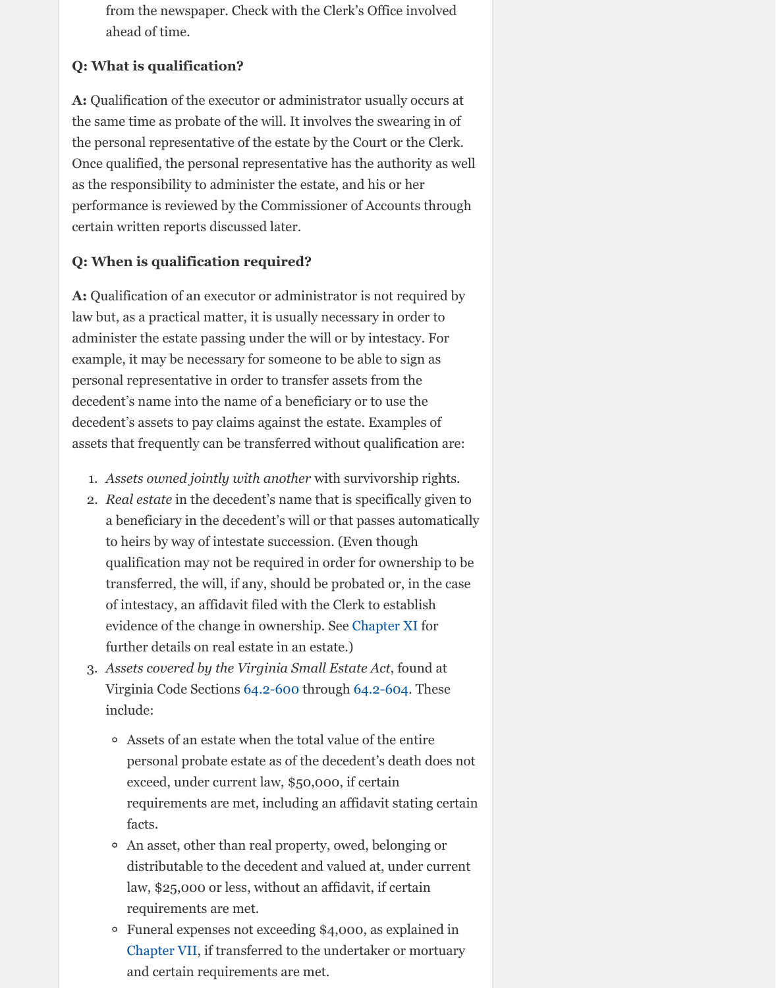$\sigma$ as a practical matter, it is as all  $\mu$  necessary in order administer the estate passing under the will or by intestacy. For example, it may be necessary for someone to be able to sign as personal representative in order to transfer assets from the decedent's name into the name of a beneficiary or to use the decedent's assets to pay claims against the estate. Examples of assets that frequently can be transferred without qualification are:

- 1. *Assets owned jointly with another* with survivorship rights.
- 2. *Real estate* in the decedent's name that is specifically given to a beneficiary in the decedent's will or that passes automatically to heirs by way of intestate succession. (Even though qualification may not be required in order for ownership to be transferred, the will, if any, should be probated or, in the case of intestacy, an affidavit filed with the Clerk to establish evidence of the change in ownership. See Chapter XI for further details on real estate in an estate.)
- 3. *Assets covered by the Virginia Small Estate Act*, found at Virginia Code Sections 64.2-600 through 64.2-604. These include:
	- Assets of an estate when the total value of the entire  $\circ$ personal probate estate as of the decedent's death does not exceed, under current law, \$50,000, if certain requirements are met, including an affidavit stating certain facts.
	- An asset, other than real property, owed, belonging or distributable to the decedent and valued at, under current law, \$25,000 or less, without an affidavit, if certain requirements are met.
	- Funeral expenses not exceeding \$4,000, as explained in Chapter VII, if transferred to the und[ertaker or m](http://www.vba.org/?page=guide_estates#assets)ortuary and certain requirements are met.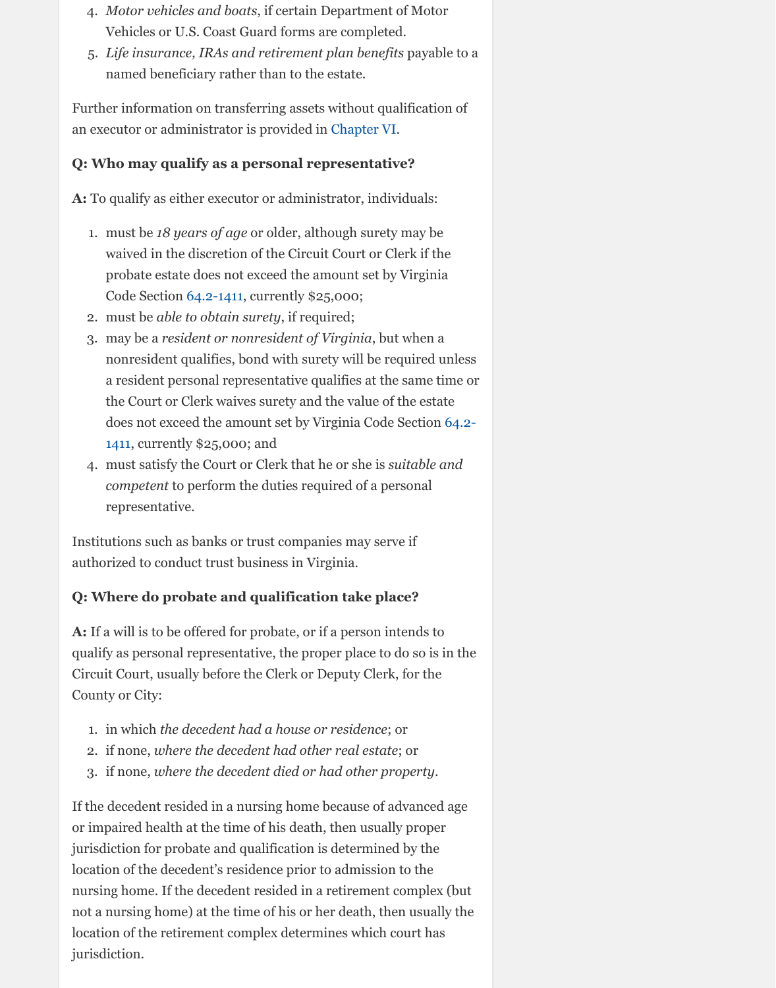- 2. must be *able to obtain surety*, if required;
- 3. may be a *resident or nonresident of Virginia*, but when a nonresident qualifies, bond with surety will be required unless a resident personal representative qualifies at the same time or the Court or Clerk waives surety and the value of the estate does not exceed the amount set by Virginia Code Section 64.2- 1411, currently \$25,000; and
- 4. must satisfy the Court or Clerk that he or she is *suitable and competent* to perform the duties required of a personal representative.

Institutions such as banks or trust companies may serve if authorized to conduct trust business in Virginia.

## **Q: Where do probate and qualification take place?**

**A:** If a will is to be offered for probate, or if a person intends to qualify as personal representative, the proper place to do so is in the Circuit Court, usually before the Clerk or Deputy Clerk, for the County or City:

- 1. in which *the decedent had a house or residence*; or
- 2. if none, *[where the decedent had other real estate](http://law.lis.virginia.gov/vacode/title64.2/chapter14/section64.2-1411/)*; or
- 3. if none, *where the decedent died or had other property*.

If the decedent resided in a nursing home because of advanced age or impaired health at the time of his death, then usually proper jurisdiction for probate and qualification is determined by the location of the decedent's residence prior to admission to the nursing home. If the decedent resided in a retirement complex (but not a nursing home) at the time of his or her death, then usually the location of the retirement complex determines which court has jurisdiction.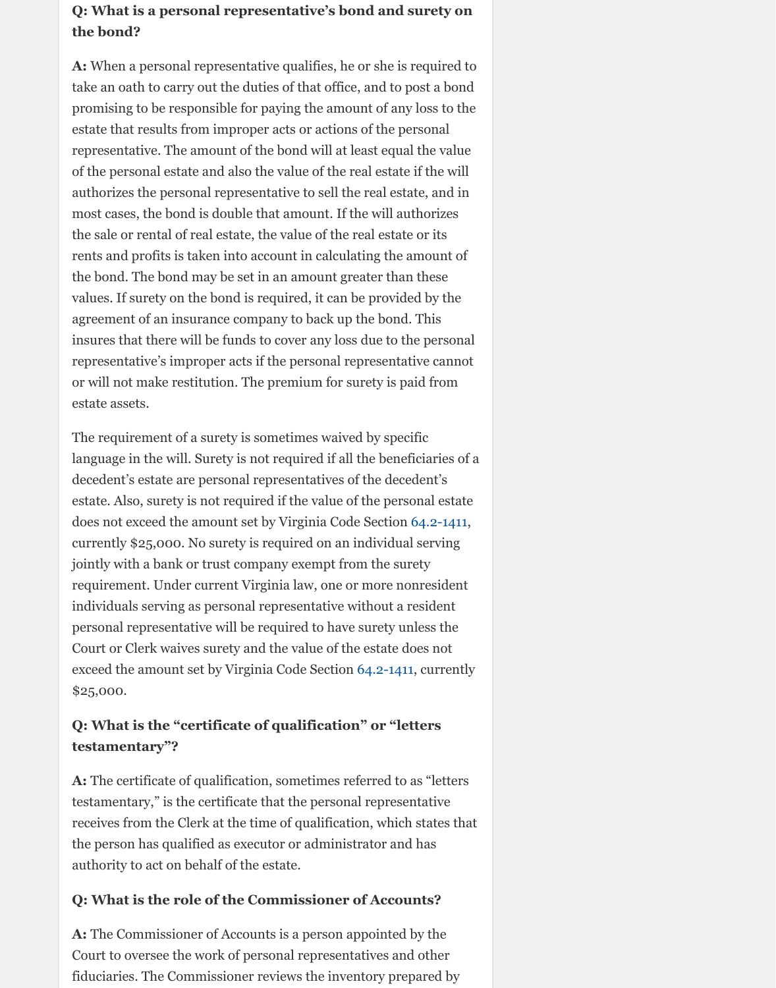agreement of an insurance company to back up the bond. This insures that there will be funds to cover any loss due to the personal representative's improper acts if the personal representative cannot or will not make restitution. The premium for surety is paid from estate assets.

The requirement of a surety is sometimes waived by specific language in the will. Surety is not required if all the beneficiaries of a decedent's estate are personal representatives of the decedent's estate. Also, surety is not required if the value of the personal estate does not exceed the amount set by Virginia Code Section 64.2-1411, currently \$25,000. No surety is required on an individual serving jointly with a bank or trust company exempt from the surety requirement. Under current Virginia law, one or more nonresident individuals serving as personal representative without a resident personal representative will be required to have surety unless the Court or Clerk waives surety and the value of the estate does not exceed the amount set by Virginia Code Section 64.2-1411, currently \$25,000.

## **Q: What is the "certificate of qualification" or "letters testamentary"?**

**A:** The certificate of qualification, sometimes referred to as "letters testamentary," is the certificate that the personal representative receives from the Clerk at the time of qualification, which states that the person has qualified as executor or administrator an[d has](http://law.lis.virginia.gov/vacode/title64.2/chapter14/section64.2-1411/) authority to act on behalf of the estate.

## **Q: What is the role of the Commissioner of Accounts?**

**A:** The Commissioner of Accounts is a person appointed by the Court to oversee the work of personal representatives and other fiduciaries. The Commissioner reviews the inve[ntory prep](http://law.lis.virginia.gov/vacode/title64.2/chapter14/section64.2-1411/)ared by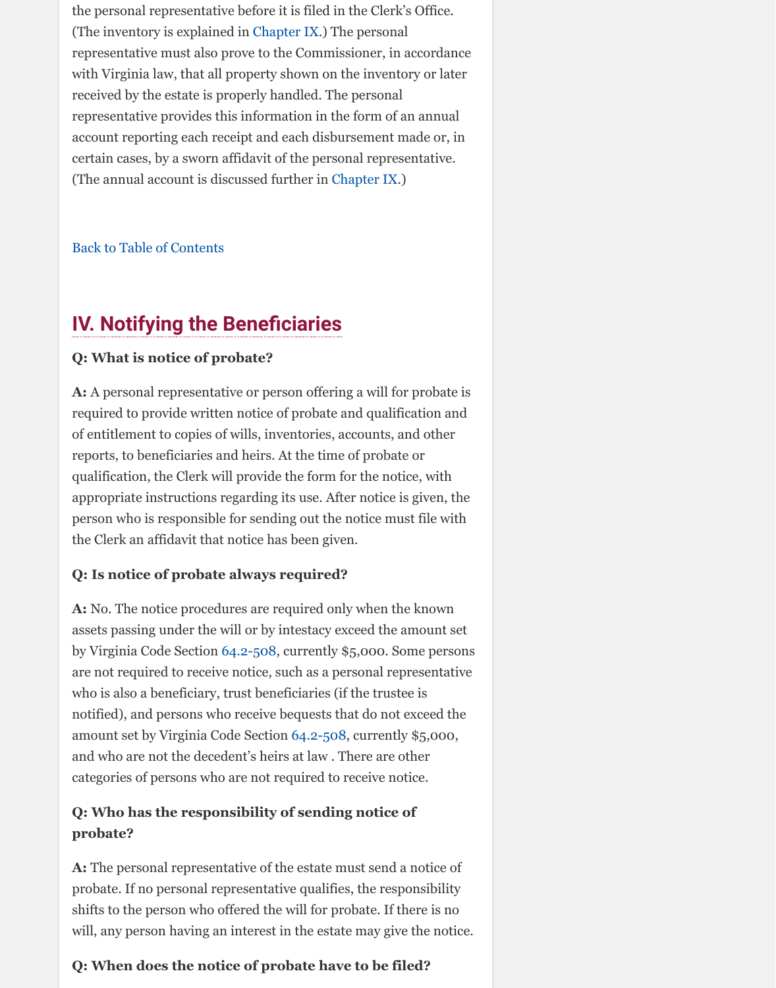#### **IV. Notifying the Beneficiaries**

## **Q: What is notice of proba[te?](http://www.vba.org/?page=guide_estates#rep)**

**A:** A personal representative or person offering a will for probate is required to provide written notice of probate and qualification and of entitlement to copies of wills, inventories, accounts, and other reports, to beneficiaries and heirs. At the time of probate or qualification, the Clerk will provide the form for the notice, with appropriate instructions regarding its use. [After notice](http://www.vba.org/?page=guide_estates#rep) is given, the person who is responsible for sending out the notice must file with the Clerk an affidavit that notice has been given.

## **[Q: Is notice of probate](http://www.vba.org/?page=guide_estates#contents) always required?**

**A:** No. The notice procedures are required only when the known assets passing under the will or by intestacy exceed the amount set by Virginia Code Section 64.2-508, currently \$5,000. Some persons are not required to receive notice, such as a personal representative who is also a beneficiary, trust beneficiaries (if the trustee is notified), and persons who receive bequests that do not exceed the amount set by Virginia Code Section 64.2-508, currently \$5,000, and who are not the decedent's heirs at law . There are other categories of persons who are not required to receive notice.

## **Q: Who has the responsibility of sending notice of probate?**

**A:** The personal representative of the estate must send a notice of probate. If no personal representative qualifies, the responsibility shifts to the person who offered the will for probate. If there is no will, any person having an interest in the estate may give the notice.

## **Q: When does the not[ice of pr](http://law.lis.virginia.gov/vacode/title64.2/chapter5/section64.2-508/)obate have to be filed?**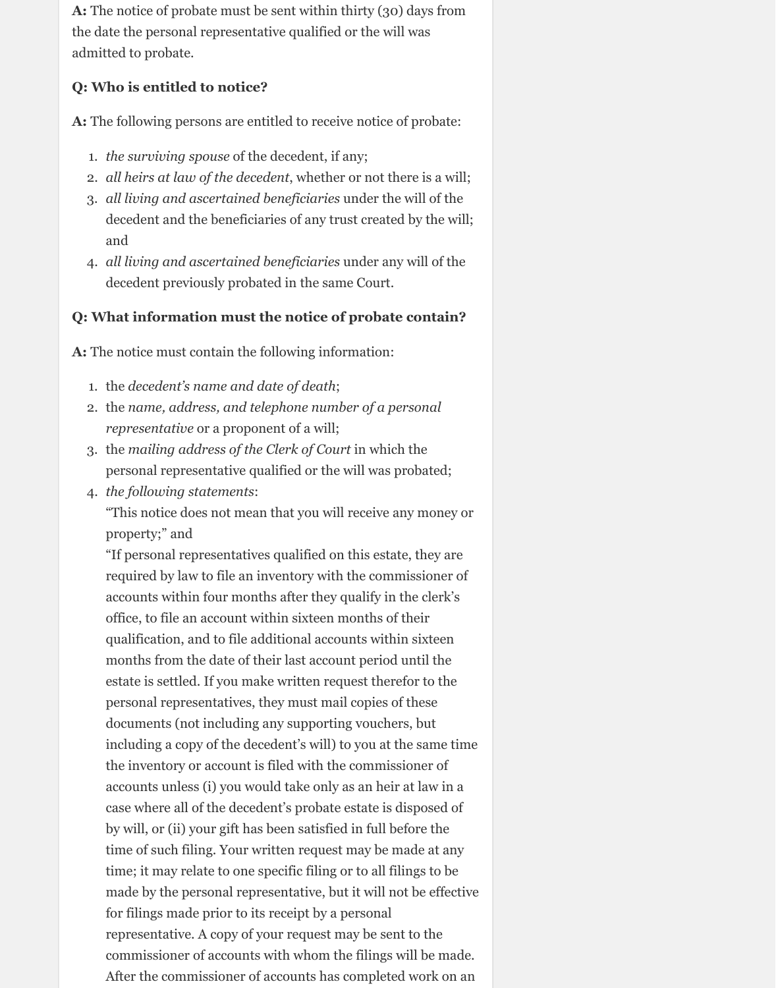**A:** The notice of probate must be sent within thirty (30) days from the date the personal representative qualified or the will was admitted to probate.

### **Q: Who is entitled to notice?**

**A:** The following persons are entitled to receive notice of probate:

- 1. *the surviving spouse* of the decedent, if any;
- 2. *all heirs at law of the decedent*, whether or not there is a will;
- 3. *all living and ascertained beneficiaries* under the will of the decedent and the beneficiaries of any trust created by the will; and
- 4. *all living and ascertained beneficiaries* under any will of the decedent previously probated in the same Court.

"This notice does not mean that you will receive any money or property;" and

## **Q: What information must the notice of probate contain?**

**A:** The notice must contain the following information:

- 1. the *decedent's name and date of death*;
- 2. the *name, address, and telephone number of a personal representative* or a proponent of a will;
- 3. the *mailing address of the Clerk of Court* in which the personal representative qualified or the will was probated;
- 4. *the following statements*:

"If personal representatives qualified on this estate, they are required by law to file an inventory with the commissioner of accounts within four months after they qualify in the clerk's office, to file an account within sixteen months of their qualification, and to file additional accounts within sixteen months from the date of their last account period until the estate is settled. If you make written request therefor to the personal representatives, they must mail copies of these documents (not including any supporting vouchers, but including a copy of the decedent's will) to you at the same time the inventory or account is filed with the commissioner of accounts unless (i) you would take only as an heir at law in a case where all of the decedent's probate estate is disposed of by will, or (ii) your gift has been satisfied in full before the time of such filing. Your written request may be made at any time; it may relate to one specific filing or to all filings to be made by the personal representative, but it will not be effective for filings made prior to its receipt by a personal representative. A copy of your request may be sent to the commissioner of accounts with whom the filings will be made. After the commissioner of accounts has completed work on an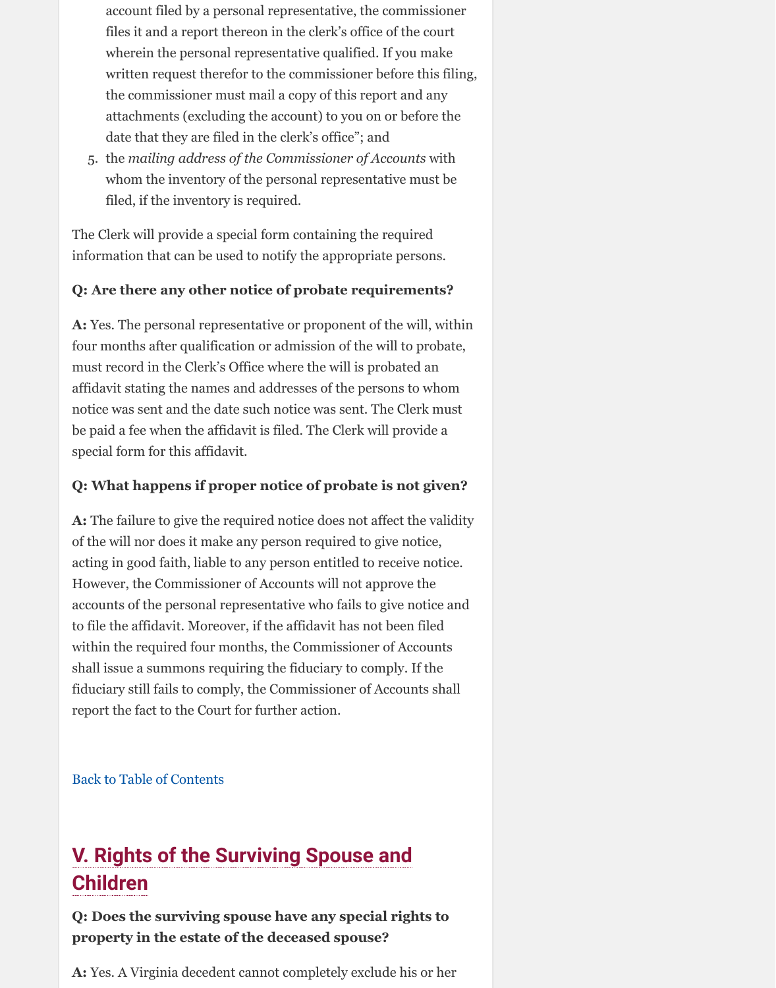**A:** Yes. The personal representative or proponent of the will, within four months after qualification or admission of the will to probate, must record in the Clerk's Office where the will is probated an affidavit stating the names and addresses of the persons to whom notice was sent and the date such notice was sent. The Clerk must be paid a fee when the affidavit is filed. The Clerk will provide a special form for this affidavit.

## **Q: What happens if proper notice of probate is not given?**

**A:** The failure to give the required notice does not affect the validity of the will nor does it make any person required to give notice, acting in good faith, liable to any person entitled to receive notice. However, the Commissioner of Accounts will not approve the accounts of the personal representative who fails to give notice and to file the affidavit. Moreover, if the affidavit has not been filed within the required four months, the Commissioner of Accounts shall issue a summons requiring the fiduciary to comply. If the fiduciary still fails to comply, the Commissioner of Accounts shall report the fact to the Court for further action.

Back to Table of Contents

# **V. Rights of the Surviving Spouse and Children**

## **Q: Does the surviving spouse have any special rights to property in the estate of the deceased spouse?**

**A:** Yes. A Virginia decedent cannot completely exclude his or her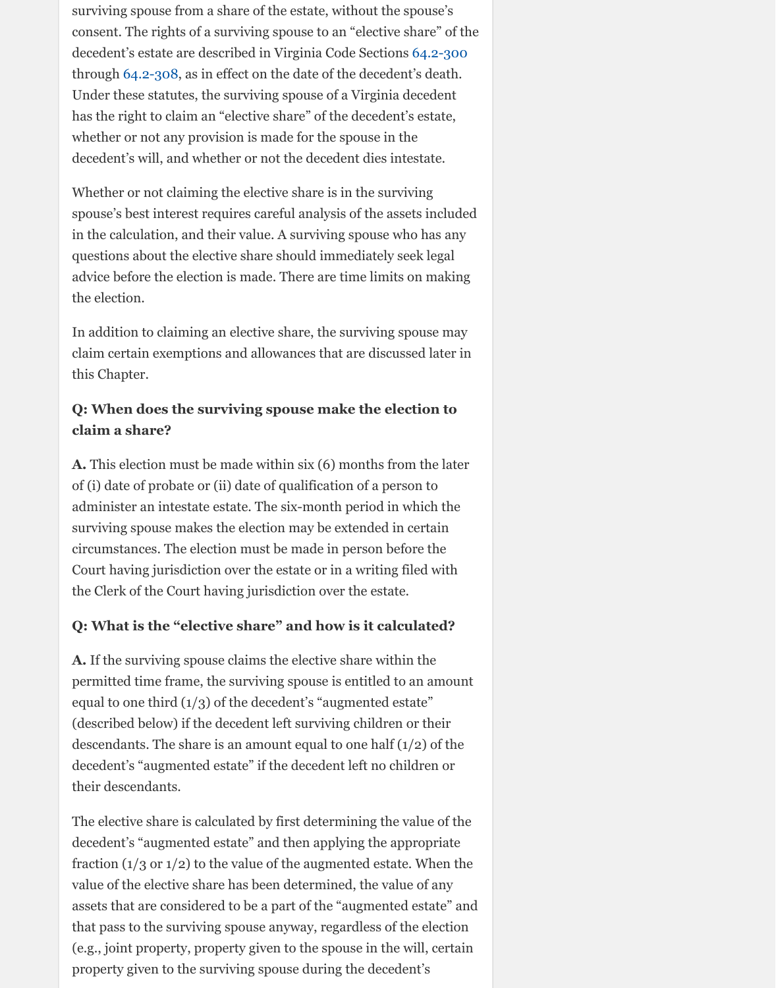In addition to claiming an elective share, the surviving spouse may claim certain exemptions and allowances that are discussed later in this Chapter.

## **Q: When does the surviving spouse make the election to claim a share?**

**A.** This election must be made within six (6) months from the later of (i) date of probate or (ii) date of qualification of a person to administer an intestate estate. The six-month period in which the surviving spouse makes the election may be extended in certain circumstances. The election must be made in person before the Court having jurisdiction over the estate or in a writing filed with the Clerk of the Court having jurisdiction over the estate.

## **Q: What is the "elective share" and how is it calculated?**

**A.** If the surviving spouse claims the elective share within the permitted time frame, the surviving spouse is entitled to an amount equal to one third (1/3) of the decedent's "augmented estate" (described below) if the decedent left surviving children or their descendants. The share is an amount equal to one half  $(1/2)$  of the decedent's "augmented estate" if the decedent left no children or their descendants.

The elective share is calculated by first determining the value of the decedent's "augmented estate" and then applying the appropriate fraction  $(1/3 \text{ or } 1/2)$  to the value of the augmented estate. When the value of the elective share has been determined, the value of any assets that are considered to be a part of the "augmented estate" and that pass to the surviving spouse anyway, regardless of the election (e.g., joint property, property given to the spouse in the will, certain property given to the surviving spouse during the decedent's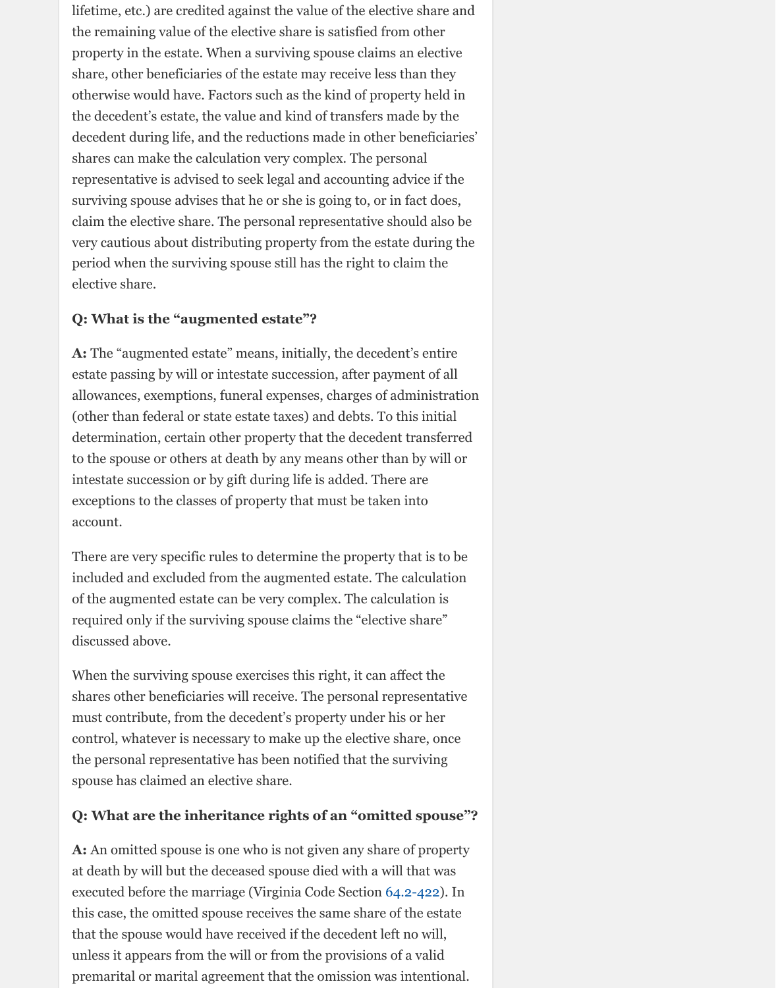#### **Q: What is the "augmented estate"?**

**A:** The "augmented estate" means, initially, the decedent's entire estate passing by will or intestate succession, after payment of all allowances, exemptions, funeral expenses, charges of administration (other than federal or state estate taxes) and debts. To this initial determination, certain other property that the decedent transferred to the spouse or others at death by any means other than by will or intestate succession or by gift during life is added. There are exceptions to the classes of property that must be taken into account.

There are very specific rules to determine the property that is to be included and excluded from the augmented estate. The calculation of the augmented estate can be very complex. The calculation is required only if the surviving spouse claims the "elective share" discussed above.

When the surviving spouse exercises this right, it can affect the shares other beneficiaries will receive. The personal representative must contribute, from the decedent's property under his or her control, whatever is necessary to make up the elective share, once the personal representative has been notified that the surviving spouse has claimed an elective share.

### **Q: What are the inheritance rights of an "omitted spouse"?**

**A:** An omitted spouse is one who is not given any share of property at death by will but the deceased spouse died with a will that was executed before the marriage (Virginia Code Section 64.2-422). In this case, the omitted spouse receives the same share of the estate that the spouse would have received if the decedent left no will, unless it appears from the will or from the provisions of a valid premarital or marital agreement that the omission was intentional.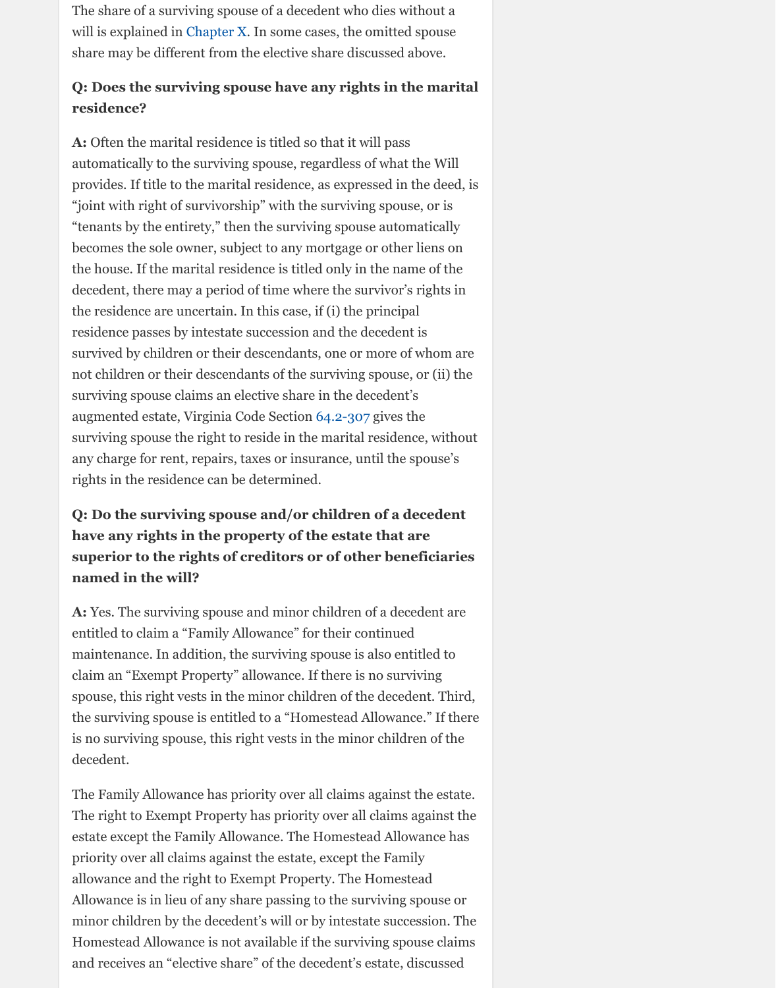residence passes by intestate succession and the decedent is survived by childre[n or their d](http://www.vba.org/?page=guide_estates#nowill)escendants, one or more of whom are not children or their descendants of the surviving spouse, or (ii) the surviving spouse claims an elective share in the decedent's augmented estate, Virginia Code Section 64.2-307 gives the surviving spouse the right to reside in the marital residence, without any charge for rent, repairs, taxes or insurance, until the spouse's rights in the residence can be determined.

## **Q: Do the surviving spouse and/or children of a decedent have any rights in the property of the estate that are superior to the rights of creditors or of other beneficiaries named in the will?**

**A:** Yes. The surviving spouse and minor children of a decedent are entitled to claim a "Family Allowance" for their continued maintenance. In addition, the surviving spouse is also entitled to claim an "Exempt Property" allowance. If there is no surviving spouse, this right vests in the minor children of the decedent. Third, the surviving spouse is entitled to a "Homestead Allowance." If there is no surviving spouse, this right vests in [the minor](http://law.lis.virginia.gov/vacode/title64.2/chapter3/section64.2-307/) children of the decedent.

The Family Allowance has priority over all claims against the estate. The right to Exempt Property has priority over all claims against the estate except the Family Allowance. The Homestead Allowance has priority over all claims against the estate, except the Family allowance and the right to Exempt Property. The Homestead Allowance is in lieu of any share passing to the surviving spouse or minor children by the decedent's will or by intestate succession. The Homestead Allowance is not available if the surviving spouse claims and receives an "elective share" of the decedent's estate, discussed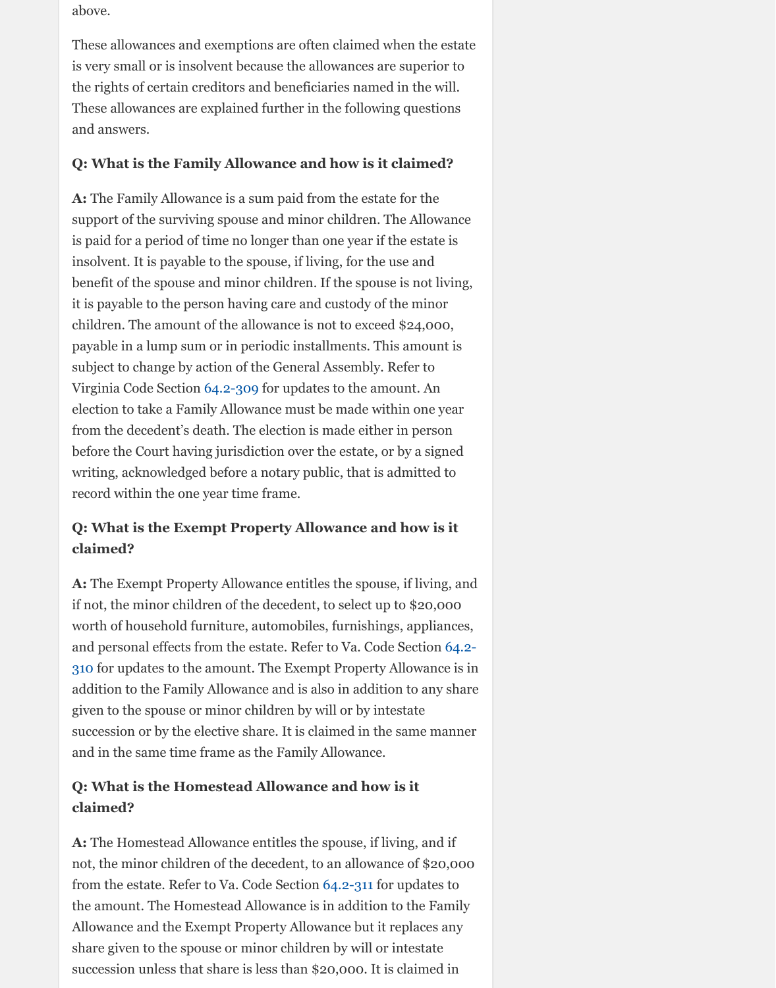children. The amount of the allowance is not to exceed \$24,000, payable in a lump sum or in periodic installments. This amount is subject to change by action of the General Assembly. Refer to Virginia Code Section 64.2-309 for updates to the amount. An election to take a Family Allowance must be made within one year from the decedent's death. The election is made either in person before the Court having jurisdiction over the estate, or by a signed writing, acknowledged before a notary public, that is admitted to record within the one year time frame.

## **Q: What is the Exempt Property Allowance and how is it claimed?**

**A:** The Exempt Property Allowance entitles the spouse, if living, and if not, the minor children of the decedent, to select up to \$20,000 worth of household furniture, automobiles, furnishings, appliances, and personal effects from the estate. Refer to Va. Code Section 64.2- 310 for updates to the amount. The Exempt Property Allowance is in addition to the Family Allowance and is also in addition to any share given to the spouse or [minor ch](http://law.lis.virginia.gov/vacode/title64.2/chapter3/section64.2-309/)ildren by will or by intestate succession or by the elective share. It is claimed in the same manner and in the same time frame as the Family Allowance.

## **Q: What is the Homestead Allowance and how is it claimed?**

**A:** The Homestead Allowance entitles the spouse, if living, and if not, the minor children of the decedent, to an allowance of \$20,000 from the estate. Refer to Va. Code Section 64.2-311 for updates to the amount. The Homestead Allowance is in addition to the Family Allowance and the Exempt Property Allowance but it replaces any share given to the spouse or minor children by will or intestate [succession unless that share is less than \\$20,000. It is claimed in](http://law.lis.virginia.gov/vacode/title64.2/chapter3/section64.2-310/)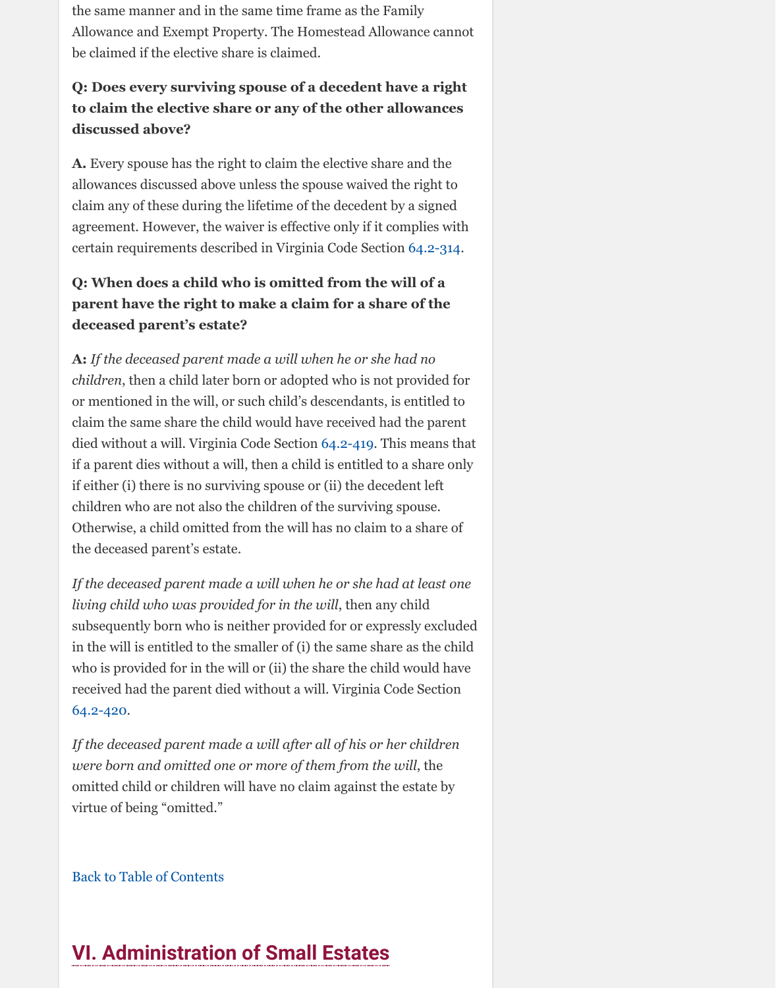#### **deceased parent's estate?**

**A:** *If the deceased parent made a will when he or she had no children*, then a child later born or adopted who is not provided for or mentioned in the will, or such child's descendants, is entitled to claim the same share the child would have received had the parent died without a will. Virginia Code Section 64.2-419. This means that if a parent dies without a will, then a child is entitled to a share only if either (i) there is no surviving spouse or (ii) the decedent left children who are not also the children of the surviving spouse. Otherwise, a child omitted from the will has no claim to a share of the deceased parent's estate.

*If the deceased parent made a will when he or she had at least one living child who was provided for in the will*, then any child subsequently born who is neither provided for or expressly excluded in the will is entitled to the smaller of (i) the same share as the child who is provided for in the will or (ii) the share the child would have received had the parent died without a will. Virginia Code Section 64.2-420.

*If the deceased parent made a will after all of his or her children were born and omitted one or more of th[em from t](http://law.lis.virginia.gov/vacode/title64.2/chapter4/section64.2-419/)he will*, the omitted child or children will have no claim against the estate by virtue of being "omitted."

Back to Table of Contents

# **VI. Administration of Small Estates**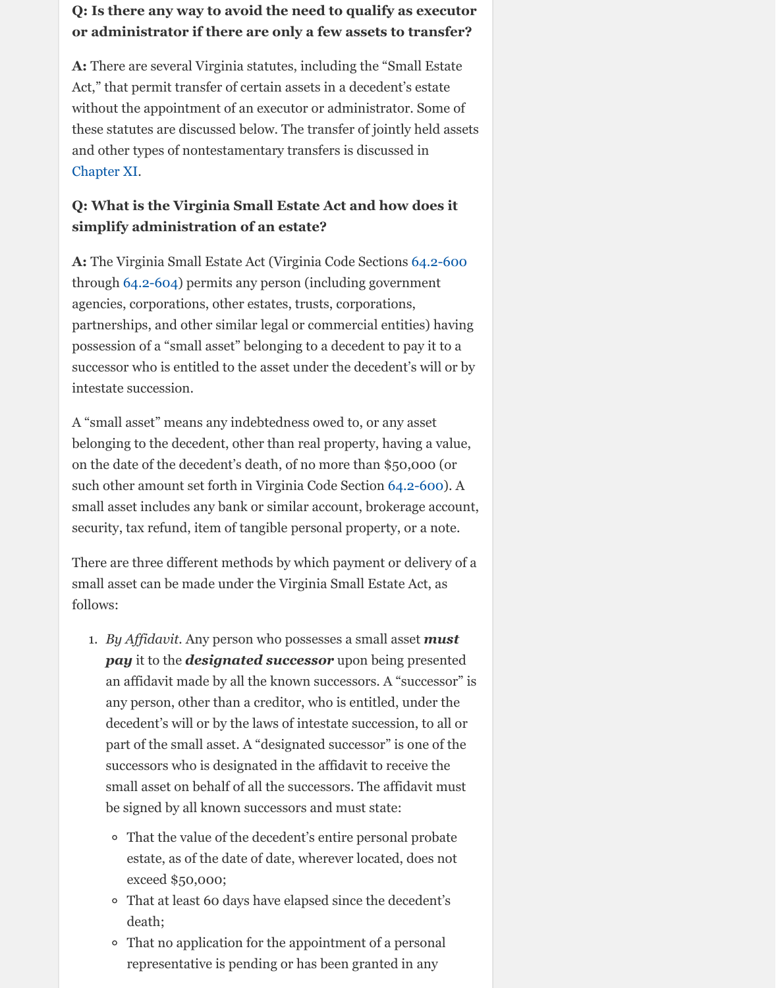partnerships, and other similar legal or commercial entities) having possession of a "small asset" belonging to a decedent to pay it to a successor who is entitled to the asset under the decedent's will or by intestate succession.

A "small asset" means any indebtedness owed to, or any asset belonging to the decedent, other than real property, having a value, on the date of the decedent's death, of no more than \$50,000 (or [such other a](http://www.vba.org/?page=guide_estates#assets)mount set forth in Virginia Code Section 64.2-600). A small asset includes any bank or similar account, brokerage account, security, tax refund, item of tangible personal property, or a note.

There are three different methods by which payment or delivery of a small asset can be made under the Virginia Small Estate [Act, as](http://law.lis.virginia.gov/vacode/title64.2/chapter6/section64.2-600/) follows:

- 1. *By Affidavit.* Any person who possesses a small asset *must pay* it to the *designated successor* upon being presented an affidavit made by all the known successors. A "successor" is any person, other than a creditor, who is entitled, under the decedent's will or by the laws of intestate succession, to all or part of the small asset. A "designated successor" is one of the successors who is designated in the affidavit to receive the small asset on behalf of all the successors. The affidavit must be signed by all known successors and must sta[te:](http://law.lis.virginia.gov/vacode/title64.2/chapter6/section64.2-600/)
	- That the value of the decedent's entire personal probate estate, as of the date of date, wherever located, does not exceed \$50,000;
	- That at least 60 days have elapsed since the decedent's death;
	- That no application for the appointment of a personal representative is pending or has been granted in any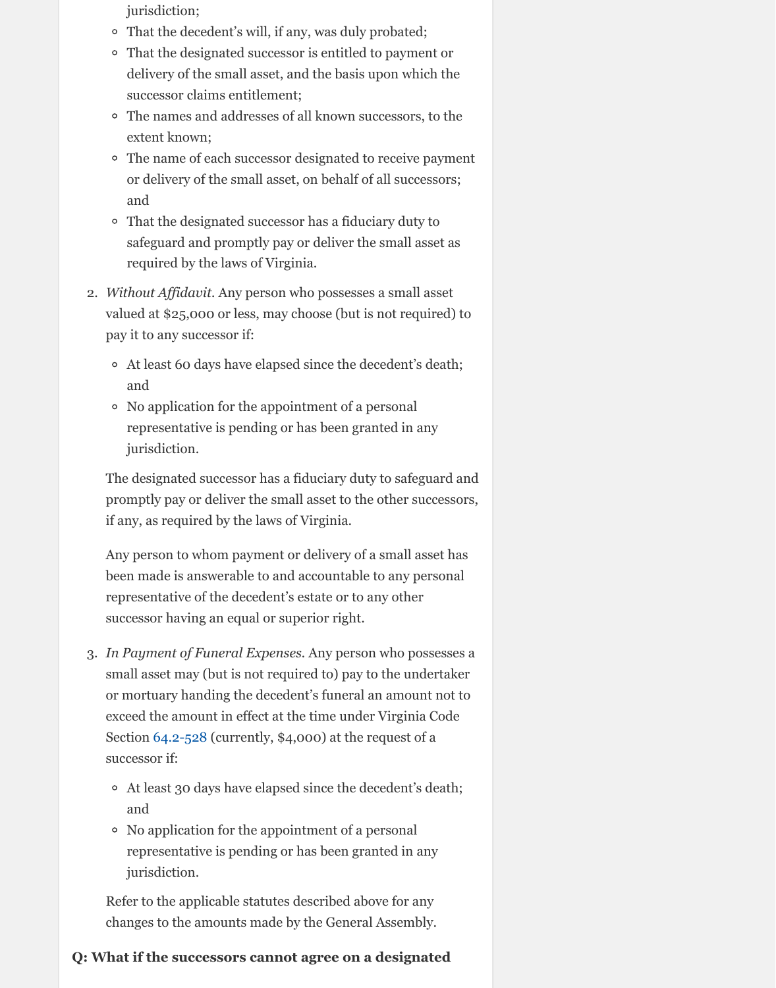valued at  $\mathcal{V}$  at a  $\mathcal{V}$  or less, may choose (but is not required) to require  $\mathcal{V}$ pay it to any successor if:

- At least 60 days have elapsed since the decedent's death; and
- No application for the appointment of a personal representative is pending or has been granted in any jurisdiction.

The designated successor has a fiduciary duty to safeguard and promptly pay or deliver the small asset to the other successors, if any, as required by the laws of Virginia.

Any person to whom payment or delivery of a small asset has been made is answerable to and accountable to any personal representative of the decedent's estate or to any other successor having an equal or superior right.

- 3. *In Payment of Funeral Expenses.* Any person who possesses a small asset may (but is not required to) pay to the undertaker or mortuary handing the decedent's funeral an amount not to exceed the amount in effect at the time under Virginia Code Section 64.2-528 (currently, \$4,000) at the request of a successor if:
	- At least 30 days have elapsed since the decedent's death; and
	- No application for the appointment of a personal representative is pending or has been granted in any jurisdiction.

Refer to the applicable statutes described above for any changes to the amounts made by the General Assembly.

### **Q: What if the successors cannot agree on a designated**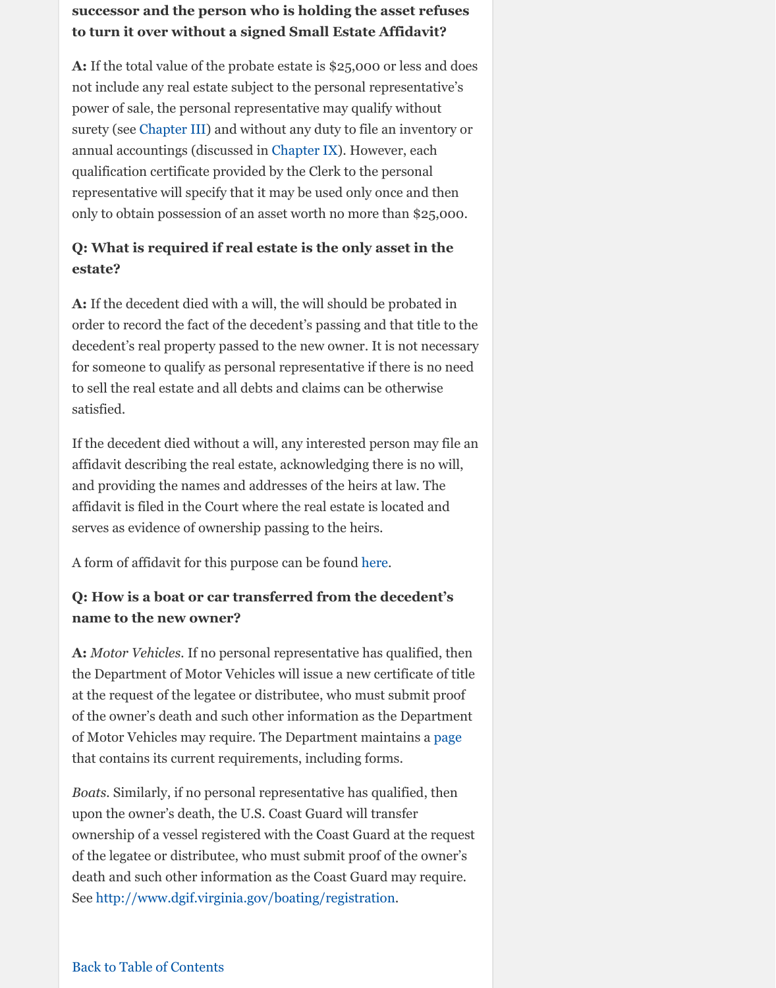order to record the fact of the decedent's passing and that title to the decedent's real property passed to the new owner. It is not necessary for someone to qualify as personal representative if there is no need to sell the real estate and all debts and claims can be otherwise satisfied.

If the dece[dent died wi](http://www.vba.org/?page=guide_estates#probate)thout a will, any interested person may file an affidavit describing the real estat[e, acknowled](http://www.vba.org/?page=guide_estates#rep)ging there is no will, and providing the names and addresses of the heirs at law. The affidavit is filed in the Court where the real estate is located and serves as evidence of ownership passing to the heirs.

A form of affidavit for this purpose can be found here.

## **Q: How is a boat or car transferred from the decedent's name to the new owner?**

**A:** *Motor Vehicles.* If no personal representative has qualified, then the Department of Motor Vehicles will issue a new certificate of title at the request of the legatee or distributee, who must submit proof of the owner's death and such other information as the Department of Motor Vehicles may require. The Department maintains a page that contains its current requirements, including forms.

*Boats.* Similarly, if no personal representative has qualified, then upon the owner's death, the U.S. Coast Guard will transfer ownership of a vessel registered with the Coast Guard at the request of the legatee or distributee, who must submit proof of the owner's death and such other information as the Coast G[uard](http://www.courts.state.va.us/forms/circuit/cc1612) may require. See http://www.dgif.virginia.gov/boating/registration.

#### Back to Table of Contents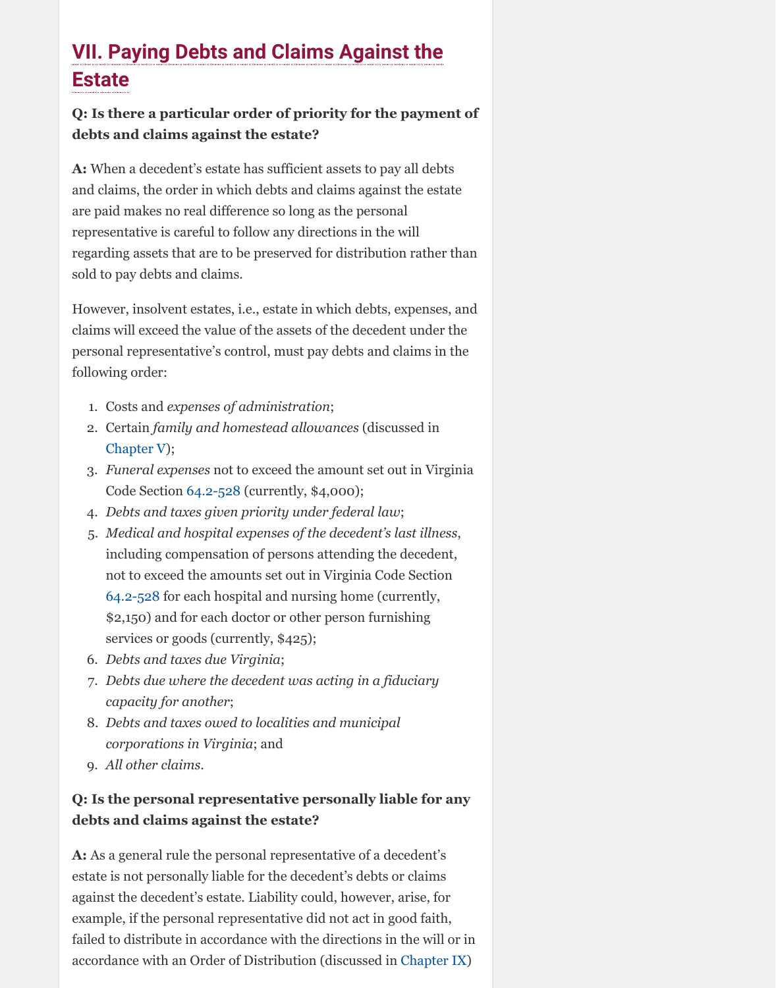claims will exceed the value of the assets of the decedent under the personal representative's control, must pay debts and claims in the following order:

- 1. Costs and *expenses of administration*;
- 2. Certain *family and homestead allowances* (discussed in Chapter V);
- 3. *Funeral expenses* not to exceed the amount set out in Virginia Code Section 64.2-528 (currently, \$4,000);
- 4. *Debts and taxes given priority under federal law*;
- 5. *Medical and hospital expenses of the decedent's last illness*, including compensation of persons attending the decedent, not to exceed the amounts set out in Virginia Code Section 64.2-528 for each hospital and nursing home (currently, \$2,150) and for each doctor or other person furnishing services or goods (currently, \$425);
- 6. *Debts and taxes due Virginia*;
- 7. *Debts due where the decedent was acting in a fiduciary capacity for another*;
- 8. *Debts and taxes owed to localities and municipal corporations in Virginia*; and
- 9. *[All other c](http://www.vba.org/?page=guide_estates#spouse)laims*.

## **Q: Is the personal representative personally liable for any debts and claim[s against](http://law.lis.virginia.gov/vacode/title64.2/chapter5/section64.2-528/) the estate?**

**A:** As a general rule the personal representative of a decedent's estate is not personally liable for the decedent's debts or claims against the decedent's estate. Liability could, however, arise, for exam[ple, if the](http://law.lis.virginia.gov/vacode/title64.2/chapter5/section64.2-528/) personal representative did not act in good faith, failed to distribute in accordance with the directions in the will or in accordance with an Order of Distribution (discussed in Chapter IX)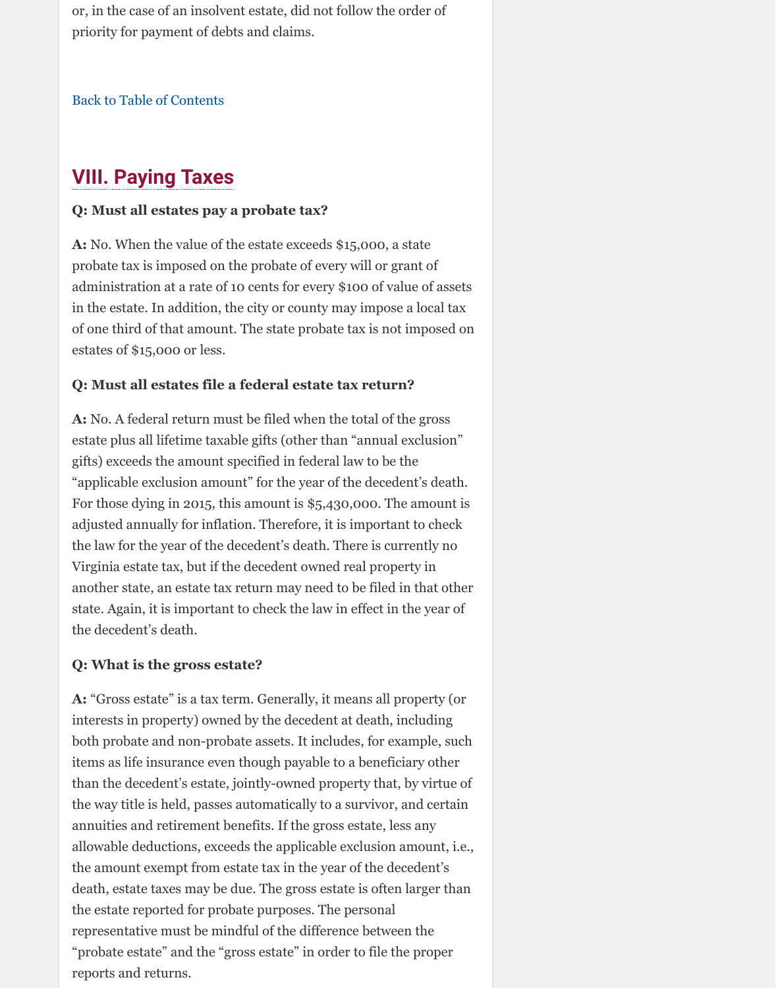of one third of that amount. The state probate tax is not imposed on estates of \$15,000 or less.

#### **Q: Must all estates file a federal estate tax return?**

**A:** [No. A federal return m](http://www.vba.org/?page=guide_estates#contents)ust be filed when the total of the gross estate plus all lifetime taxable gifts (other than "annual exclusion" gifts) exceeds the amount specified in federal law to be the "applicable exclusion amount" for the year of the decedent's death. For those dying in 2015, this amount is \$5,430,000. The amount is adjusted annually for inflation. Therefore, it is important to check the law for the year of the decedent's death. There is currently no Virginia estate tax, but if the decedent owned real property in another state, an estate tax return may need to be filed in that other state. Again, it is important to check the law in effect in the year of the decedent's death.

### **Q: What is the gross estate?**

**A:** "Gross estate" is a tax term. Generally, it means all property (or interests in property) owned by the decedent at death, including both probate and non-probate assets. It includes, for example, such items as life insurance even though payable to a beneficiary other than the decedent's estate, jointly-owned property that, by virtue of the way title is held, passes automatically to a survivor, and certain annuities and retirement benefits. If the gross estate, less any allowable deductions, exceeds the applicable exclusion amount, i.e., the amount exempt from estate tax in the year of the decedent's death, estate taxes may be due. The gross estate is often larger than the estate reported for probate purposes. The personal representative must be mindful of the difference between the "probate estate" and the "gross estate" in order to file the proper reports and returns.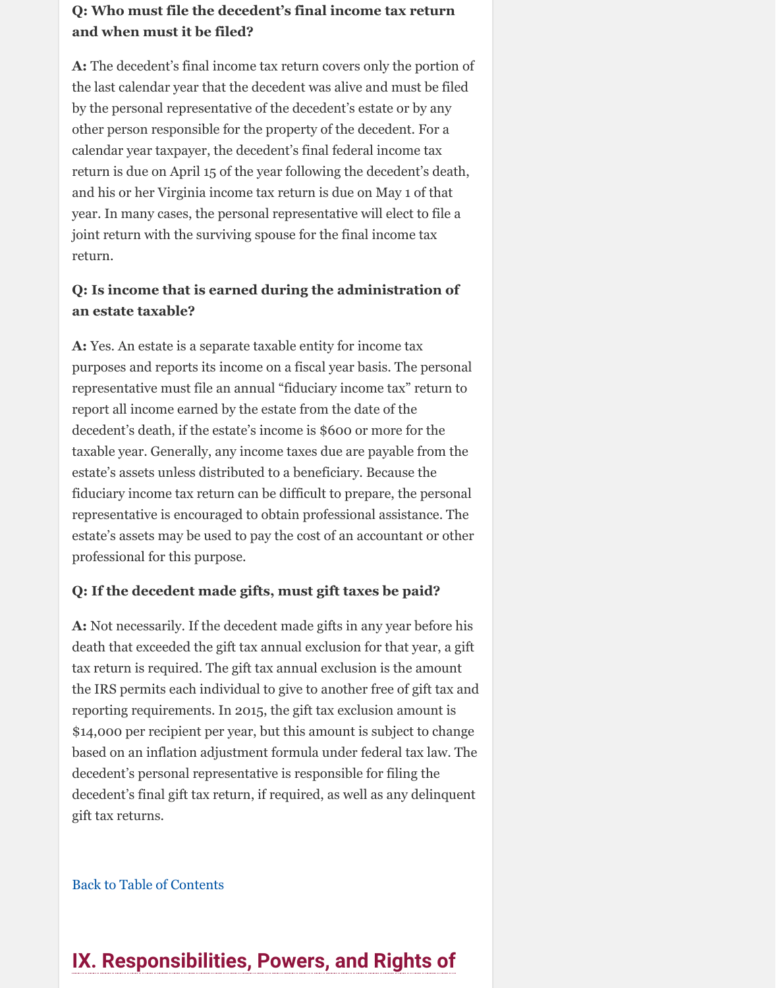**A:** Yes. An estate is a separate taxable entity for income tax purposes and reports its income on a fiscal year basis. The personal representative must file an annual "fiduciary income tax" return to report all income earned by the estate from the date of the decedent's death, if the estate's income is \$600 or more for the taxable year. Generally, any income taxes due are payable from the estate's assets unless distributed to a beneficiary. Because the fiduciary income tax return can be difficult to prepare, the personal representative is encouraged to obtain professional assistance. The estate's assets may be used to pay the cost of an accountant or other professional for this purpose.

## **Q: If the decedent made gifts, must gift taxes be paid?**

**A:** Not necessarily. If the decedent made gifts in any year before his death that exceeded the gift tax annual exclusion for that year, a gift tax return is required. The gift tax annual exclusion is the amount the IRS permits each individual to give to another free of gift tax and reporting requirements. In 2015, the gift tax exclusion amount is \$14,000 per recipient per year, but this amount is subject to change based on an inflation adjustment formula under federal tax law. The decedent's personal representative is responsible for filing the decedent's final gift tax return, if required, as well as any delinquent gift tax returns.

Back to Table of Contents

# **IX. Responsibilities, Powers, and Rights of**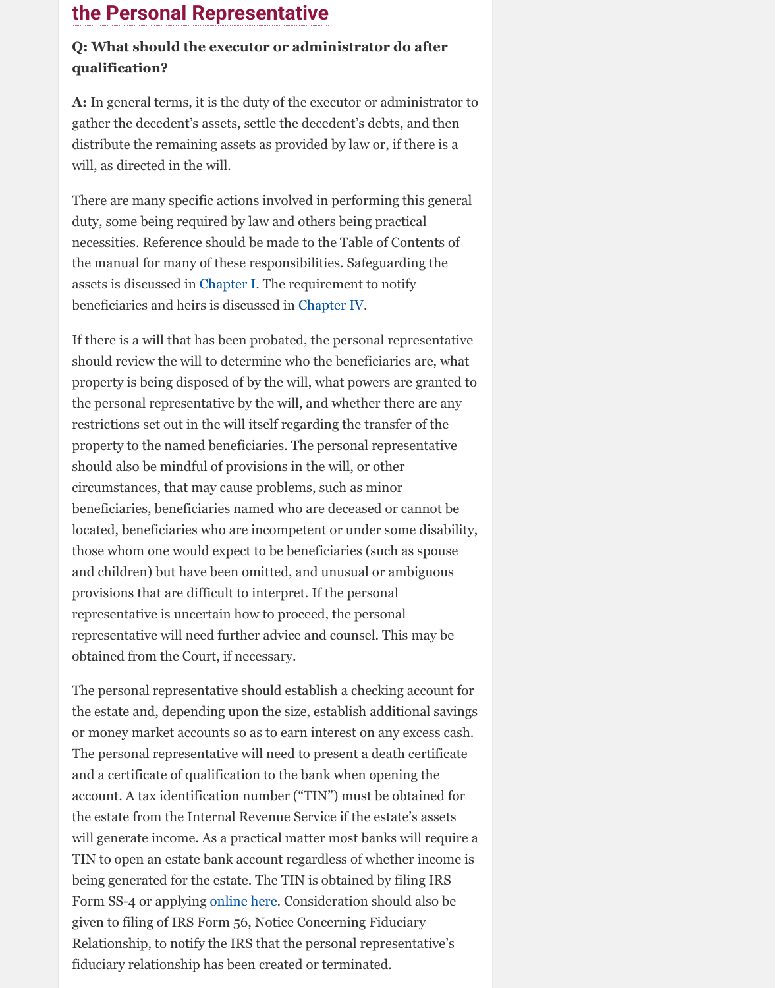If there is a will that has been probated, the personal representative should review the will to determine who the beneficiaries are, what property is being disposed of by the will, what powers are granted to the personal representative by the will, and whether there are any restrictions set out in the will itself regarding the transfer of the property to the named beneficiaries. The personal representative should also be mindful of provisions in the will, or other circumstances, that may cause problems, such as minor beneficiaries, beneficiaries named who are deceased or cannot be located, beneficiaries who are incompetent or under some disability, those whom one would expect to be beneficiaries (such as spouse and children) but have been omitted, and unusual or ambiguous provisions that are difficult to interpret. If the personal representative is unc[ertain how](http://www.vba.org/?page=guide_estates#funeral) to proceed, the personal representative will need further advic[e and couns](http://www.vba.org/?page=guide_estates#beneficiaries)el. This may be obtained from the Court, if necessary.

The personal representative should establish a checking account for the estate and, depending upon the size, establish additional savings or money market accounts so as to earn interest on any excess cash. The personal representative will need to present a death certificate and a certificate of qualification to the bank when opening the account. A tax identification number ("TIN") must be obtained for the estate from the Internal Revenue Service if the estate's assets will generate income. As a practical matter most banks will require a TIN to open an estate bank account regardless of whether income is being generated for the estate. The TIN is obtained by filing IRS Form SS-4 or applying online here. Consideration should also be given to filing of IRS Form 56, Notice Concerning Fiduciary Relationship, to notify the IRS that the personal representative's fiduciary relationship has been created or terminated.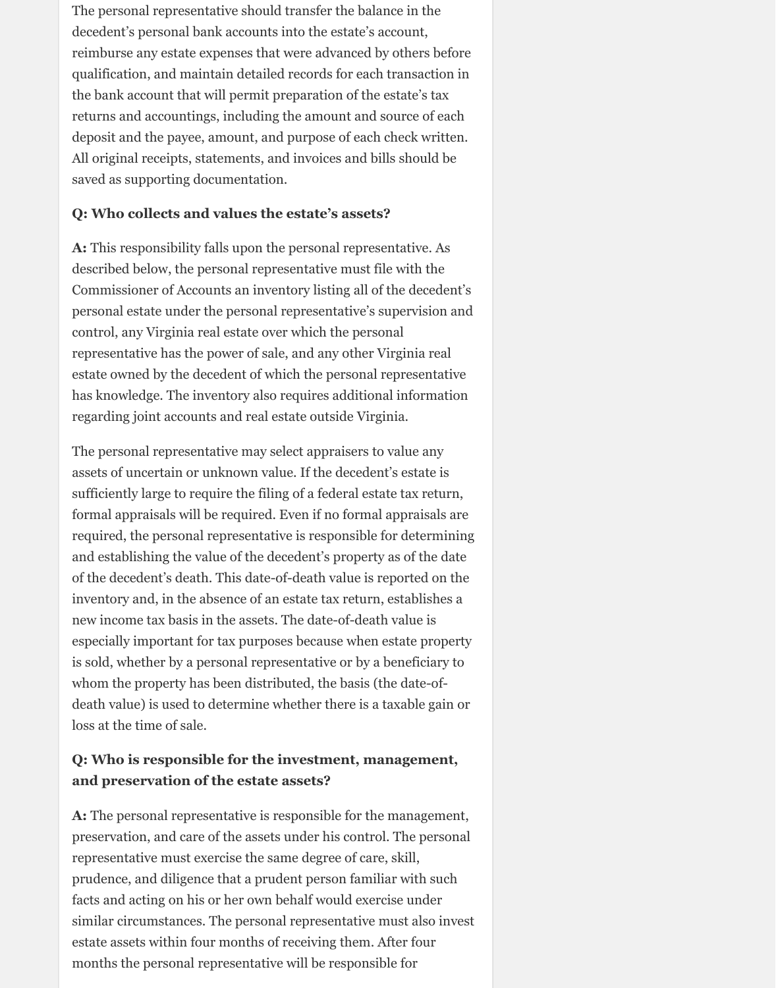The personal representative should transfer the balance in the decedent's personal bank accounts into the estate's account, reimburse any estate expenses that were advanced by others before qualification, and maintain detailed records for each transaction in the bank account that will permit preparation of the estate's tax returns and accountings, including the amount and source of each deposit and the payee, amount, and purpose of each check written. All original receipts, statements, and invoices and bills should be saved as supporting documentation.

#### **Q: Who collects and values the estate's assets?**

**A:** This responsibility falls upon the personal representative. As described below, the personal representative must file with the Commissioner of Accounts an inventory listing all of the decedent's personal estate under the personal representative's supervision and control, any Virginia real estate over which the personal representative has the power of sale, and any other Virginia real estate owned by the decedent of which the personal representative has knowledge. The inventory also requires additional information regarding joint accounts and real estate outside Virginia.

The personal representative may select appraisers to value any assets of uncertain or unknown value. If the decedent's estate is sufficiently large to require the filing of a federal estate tax return, formal appraisals will be required. Even if no formal appraisals are required, the personal representative is responsible for determining and establishing the value of the decedent's property as of the date of the decedent's death. This date-of-death value is reported on the inventory and, in the absence of an estate tax return, establishes a new income tax basis in the assets. The date-of-death value is especially important for tax purposes because when estate property is sold, whether by a personal representative or by a beneficiary to whom the property has been distributed, the basis (the date-ofdeath value) is used to determine whether there is a taxable gain or loss at the time of sale.

## **Q: Who is responsible for the investment, management, and preservation of the estate assets?**

**A:** The personal representative is responsible for the management, preservation, and care of the assets under his control. The personal representative must exercise the same degree of care, skill, prudence, and diligence that a prudent person familiar with such facts and acting on his or her own behalf would exercise under similar circumstances. The personal representative must also invest estate assets within four months of receiving them. After four months the personal representative will be responsible for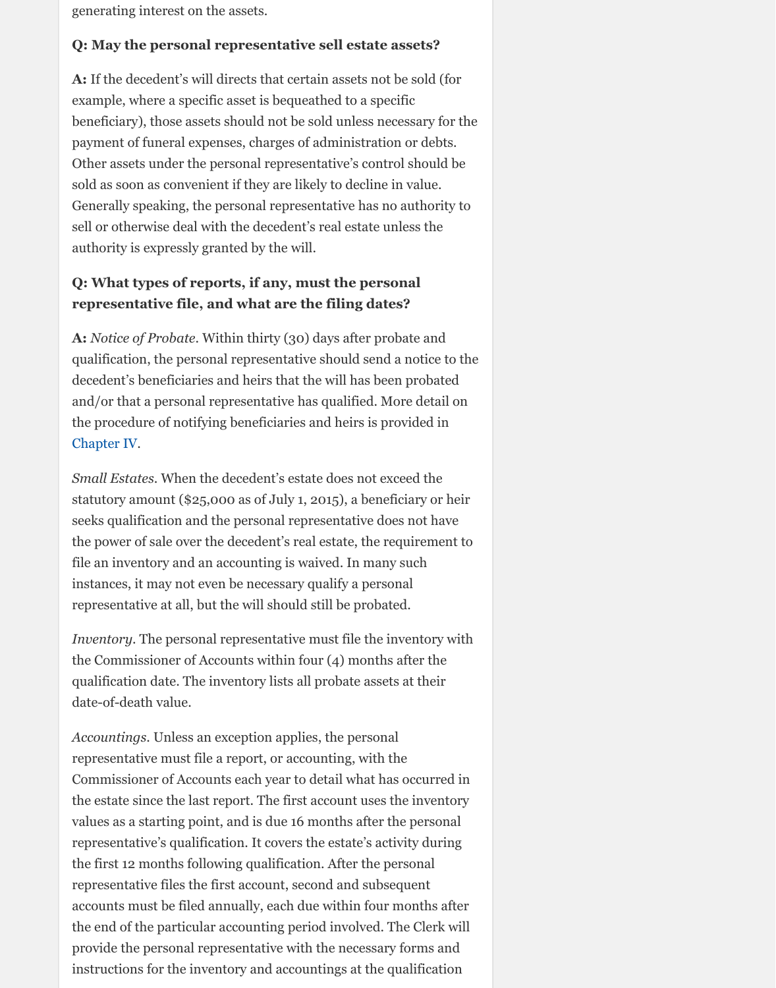**A:** *Notice of Probate*. Within thirty (30) days after probate and qualification, the personal representative should send a notice to the decedent's beneficiaries and heirs that the will has been probated and/or that a personal representative has qualified. More detail on the procedure of notifying beneficiaries and heirs is provided in Chapter IV.

*Small Estates*. When the decedent's estate does not exceed the statutory amount (\$25,000 as of July 1, 2015), a beneficiary or heir seeks qualification and the personal representative does not have the power of sale over the decedent's real estate, the requirement to file an inventory and an accounting is waived. In many such instances, it may not even be necessary qualify a personal representative at all, but the will should still be probated.

*Inventory*. The personal representative must file the inventory with the Commissioner of Accounts within four (4) months after the qualification date. The inventory lists all probate assets at their date-of-death value.

*Accountings*. Unless an exception applies, the personal [representat](http://www.vba.org/?page=guide_estates#beneficiaries)ive must file a report, or accounting, with the Commissioner of Accounts each year to detail what has occurred in the estate since the last report. The first account uses the inventory values as a starting point, and is due 16 months after the personal representative's qualification. It covers the estate's activity during the first 12 months following qualification. After the personal representative files the first account, second and subsequent accounts must be filed annually, each due within four months after the end of the particular accounting period involved. The Clerk will provide the personal representative with the necessary forms and instructions for the inventory and accountings at the qualification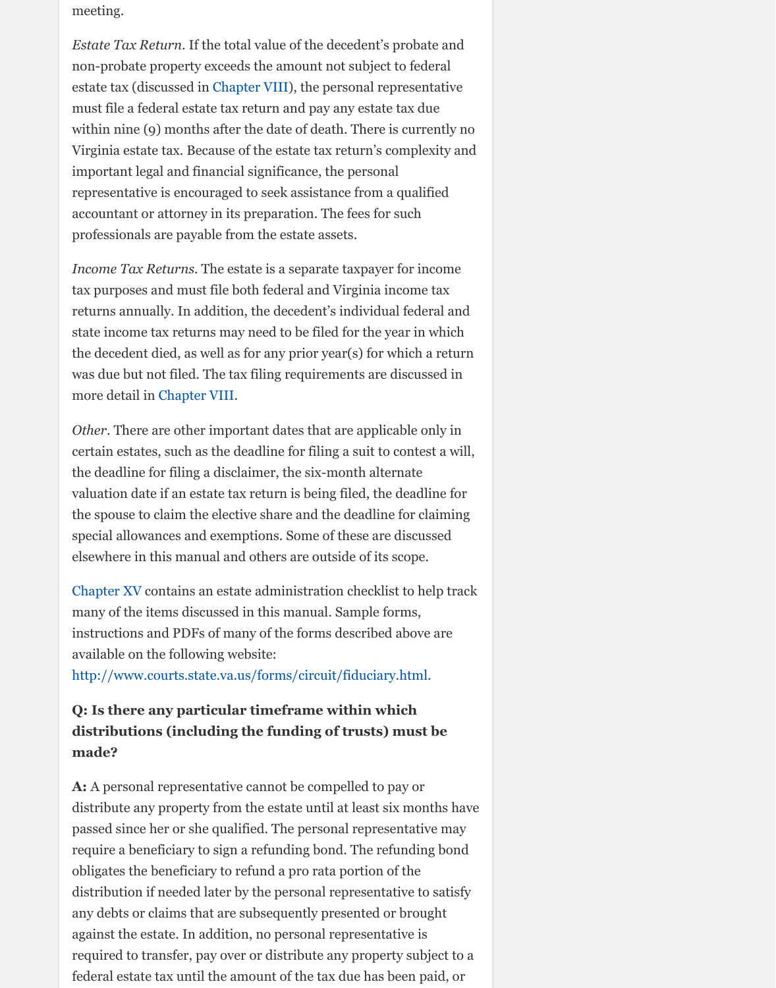state income tax returns may need to be filed for the year in which the decedent died, as well as for any prior year(s) for which a return was due but not filed. The tax filing requirements are discussed in more detail in Chapter [VIII.](http://www.vba.org/?page=guide_estates#advisors)

*Other*. There are other important dates that are applicable only in certain estates, such as the deadline for filing a suit to contest a will, the deadline for filing a disclaimer, the six-month alternate valuation date if an estate tax return is being filed, the deadline for the spouse to claim the elective share and the deadline for claiming special allowances and exemptions. Some of these are discussed elsewhere in this manual and others are outside of its scope.

Chapter XV contains an estate administration checklist to help track many of the items discussed in this manual. Sample forms, instructions and PDFs of many of the forms described above are available on the following website:

http://www.courts.state.va.us/forms/circuit/fiduciary.html.

## **Q: Is there a[ny particula](http://www.vba.org/?page=guide_estates#taxes)r timeframe within which distributions (including the funding of trusts) must be made?**

**A:** A personal representative cannot be compelled to pay or distribute any property from the estate until at least six months have passed since her or she qualified. The personal representative may require a beneficiary to sign a refunding bond. The refunding bond obligates the beneficiary to refund a pro rata portion of the distribution if needed later by the personal representative to satisfy [any debts or](http://www.vba.org/?page=guide_estates#checklist) claims that are subsequently presented or brought against the estate. In addition, no personal representative is required to transfer, pay over or distribute any property subject to a federal estate tax until the amount of the tax due has been paid, or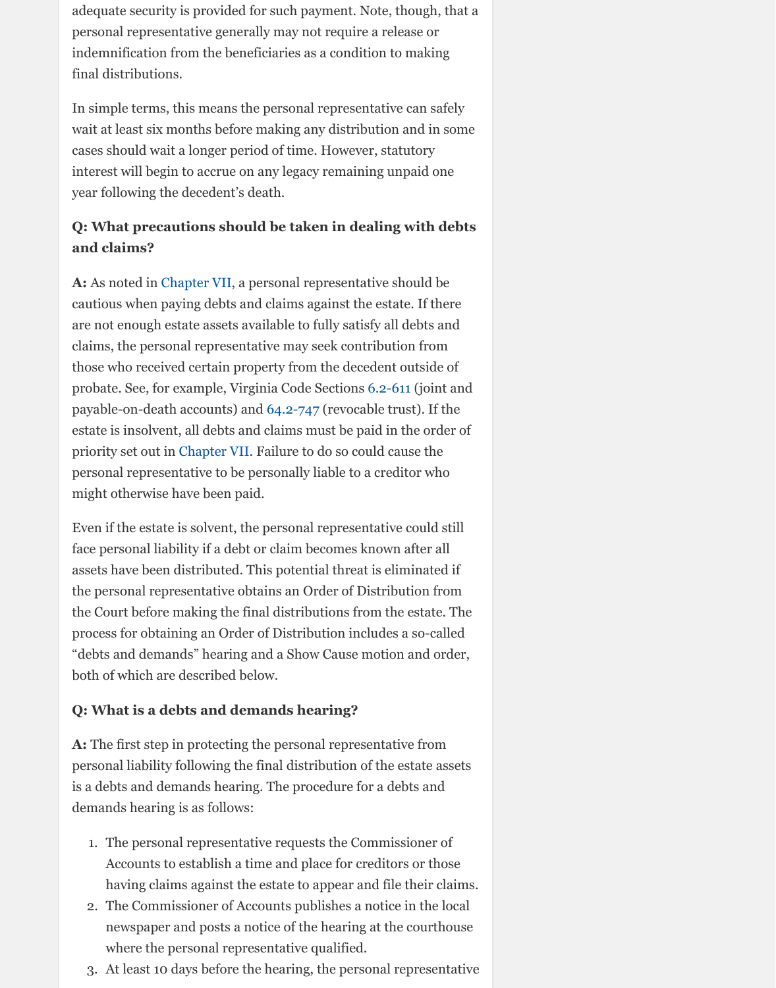are not enough estate assets available to fully satisfy all debts and claims, the personal representative may seek contribution from those who received certain property from the decedent outside of probate. See, for example, Virginia Code Sections 6.2-611 (joint and payable-on-death accounts) and 64.2-747 (revocable trust). If the estate is insolvent, all debts and claims must be paid in the order of priority set out in Chapter VII. Failure to do so could cause the personal representative to be personally liable to a creditor who might otherwise have been paid.

Even if the estate is solvent, the personal representative could still face personal liability if a debt or claim becomes known after all assets have been distributed. This potential threat is eliminated if the personal representative obtains an Order of Distribution from the Court befo[re making th](http://www.vba.org/?page=guide_estates#debts)e final distributions from the estate. The process for obtaining an Order of Distribution includes a so-called "debts and demands" hearing and a Show Cause motion and order, both of which are described below.

## **Q: What is a debts and demands hearing?**

**A:** The first step in protecting the personal representative from personal liability [following the](http://www.vba.org/?page=guide_estates#debts) final distribution of the estate assets is a debts and demands hearing. The procedure for a debts and demands hearing is as follows:

- 1. The personal representative requests the Commissioner of Accounts to establish a time and place for creditors or those having claims against the estate to appear and file their claims.
- 2. The Commissioner of Accounts publishes a notice in the local newspaper and posts a notice of the hearing at the courthouse where the personal representative qualified.
- 3. At least 10 days before the hearing, the personal representative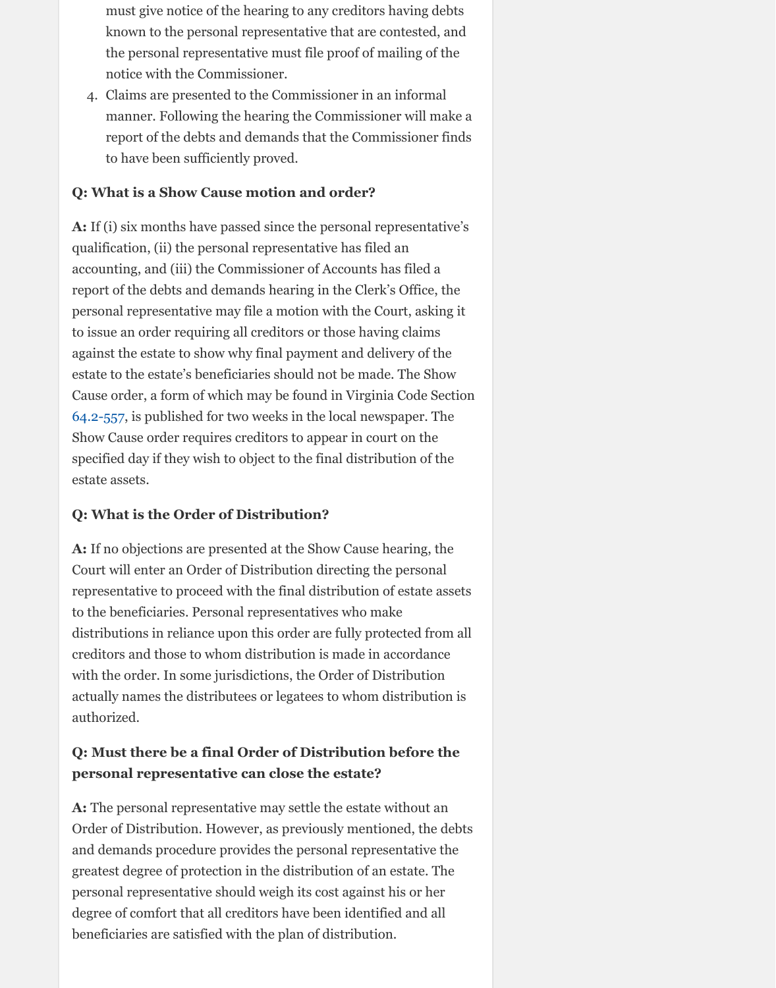to issue an order requiring all creditors or those having claims against the estate to show why final payment and delivery of the estate to the estate's beneficiaries should not be made. The Show Cause order, a form of which may be found in Virginia Code Section 64.2-557, is published for two weeks in the local newspaper. The Show Cause order requires creditors to appear in court on the specified day if they wish to object to the final distribution of the estate assets.

## **Q: What is the Order of Distribution?**

**A:** If no objections are presented at the Show Cause hearing, the Court will enter an Order of Distribution directing the personal representative to proceed with the final distribution of estate assets to the beneficiaries. Personal representatives who make distributions in reliance upon this order are fully protected from all creditors and those to whom distribution is made in accordance with the order. In some jurisdictions, the Order of Distribution actually names the distributees or legatees to whom distribution is authorized.

## **Q: Must there be a final Order of Distribution before the personal representative can close the estate?**

**A:** The personal representative may settle the estate without an Order of Distribution. However, as previously mentioned, the debts and demands procedure provides the personal representative the greatest degree of protection in the distribution of an estate. The personal representative should weigh its cost against his or her degree of comfort that all creditors have been identified and all beneficiaries are satisfied with the plan of distribution.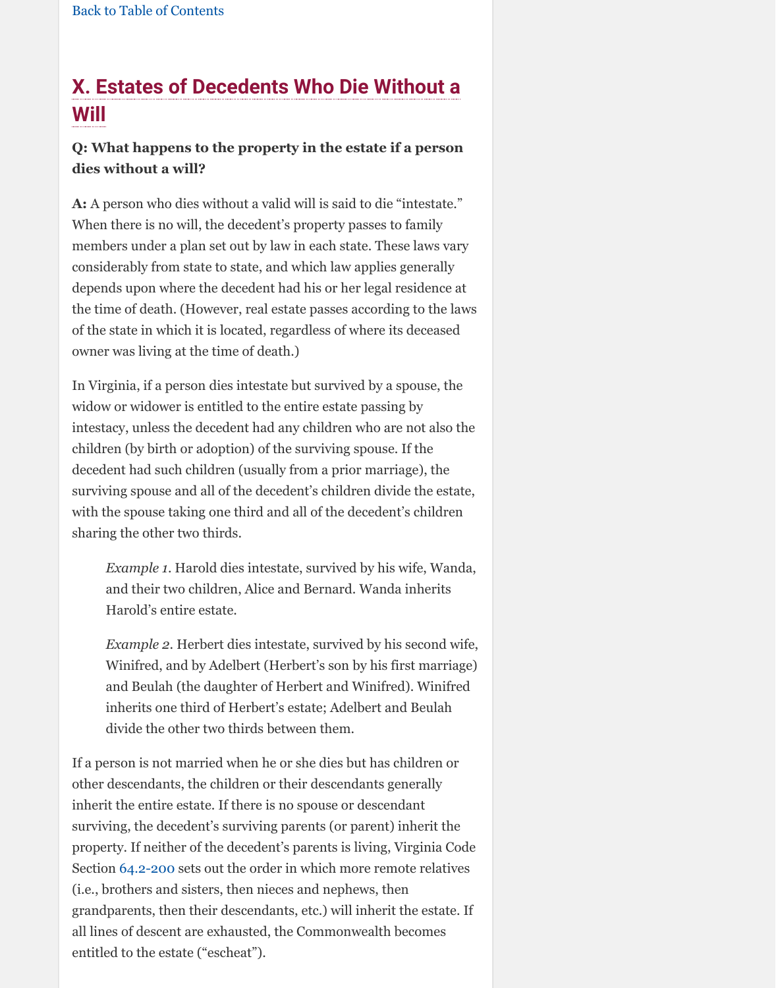[of the state in which it is lo](http://www.vba.org/?page=guide_estates#contents)cated, regardless of where its deceased owner was living at the time of death.)

In Virginia, if a person dies intestate but survived by a spouse, the widow or widower is entitled to the entire estate passing by intestacy, unless the decedent had any children who are not also the children (by birth or adoption) of the surviving spouse. If the decedent had such children (usually from a prior marriage), the surviving spouse and all of the decedent's children divide the estate, with the spouse taking one third and all of the decedent's children sharing the other two thirds.

*Example 1*. Harold dies intestate, survived by his wife, Wanda, and their two children, Alice and Bernard. Wanda inherits Harold's entire estate.

*Example 2*. Herbert dies intestate, survived by his second wife, Winifred, and by Adelbert (Herbert's son by his first marriage) and Beulah (the daughter of Herbert and Winifred). Winifred inherits one third of Herbert's estate; Adelbert and Beulah divide the other two thirds between them.

If a person is not married when he or she dies but has children or other descendants, the children or their descendants generally inherit the entire estate. If there is no spouse or descendant surviving, the decedent's surviving parents (or parent) inherit the property. If neither of the decedent's parents is living, Virginia Code Section 64.2-200 sets out the order in which more remote relatives (i.e., brothers and sisters, then nieces and nephews, then grandparents, then their descendants, etc.) will inherit the estate. If all lines of descent are exhausted, the Commonwealth becomes entitled to the estate ("escheat").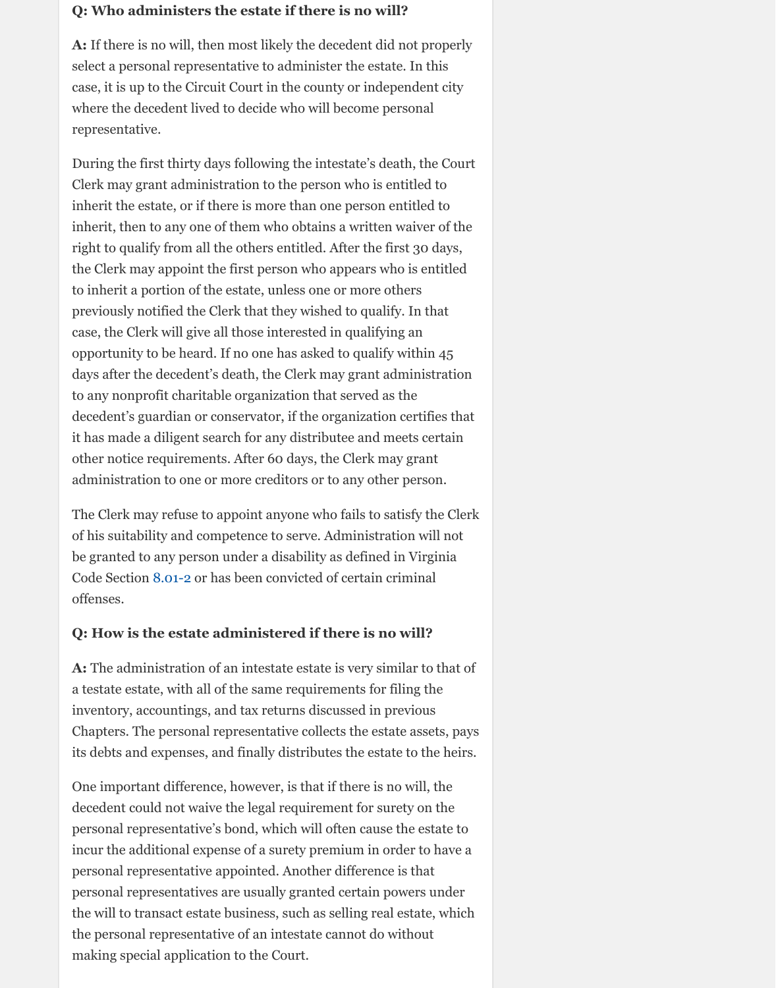case, the Clerk will give all those interested in qualifying an opportunity to be heard. If no one has asked to qualify within 45 days after the decedent's death, the Clerk may grant administration to any nonprofit charitable organization that served as the decedent's guardian or conservator, if the organization certifies that it has made a diligent search for any distributee and meets certain other notice requirements. After 60 days, the Clerk may grant administration to one or more creditors or to any other person.

The Clerk may refuse to appoint anyone who fails to satisfy the Clerk of his suitability and competence to serve. Administration will not be granted to any person under a disability as defined in Virginia Code Section 8.01-2 or has been convicted of certain criminal offenses.

### **Q: How is the estate administered if there is no will?**

**A:** The administration of an intestate estate is very similar to that of a testate estate, with all of the same requirements for filing the inventory, accountings, and tax returns discussed in previous Chapters. The personal representative collects the estate assets, pays its debts and expenses, and finally distributes the estate to the heirs.

One important difference, however, is that if there is no will, the decedent could not waive the legal requirement for surety on the personal representative's bond, which will often cause the estate to incur the additional expense of a surety premium in order to have a personal representative appointed. Another difference is that personal repr[esentat](http://law.lis.virginia.gov/vacode/title8.01/chapter1/section8.01-2/)ives are usually granted certain powers under the will to transact estate business, such as selling real estate, which the personal representative of an intestate cannot do without making special application to the Court.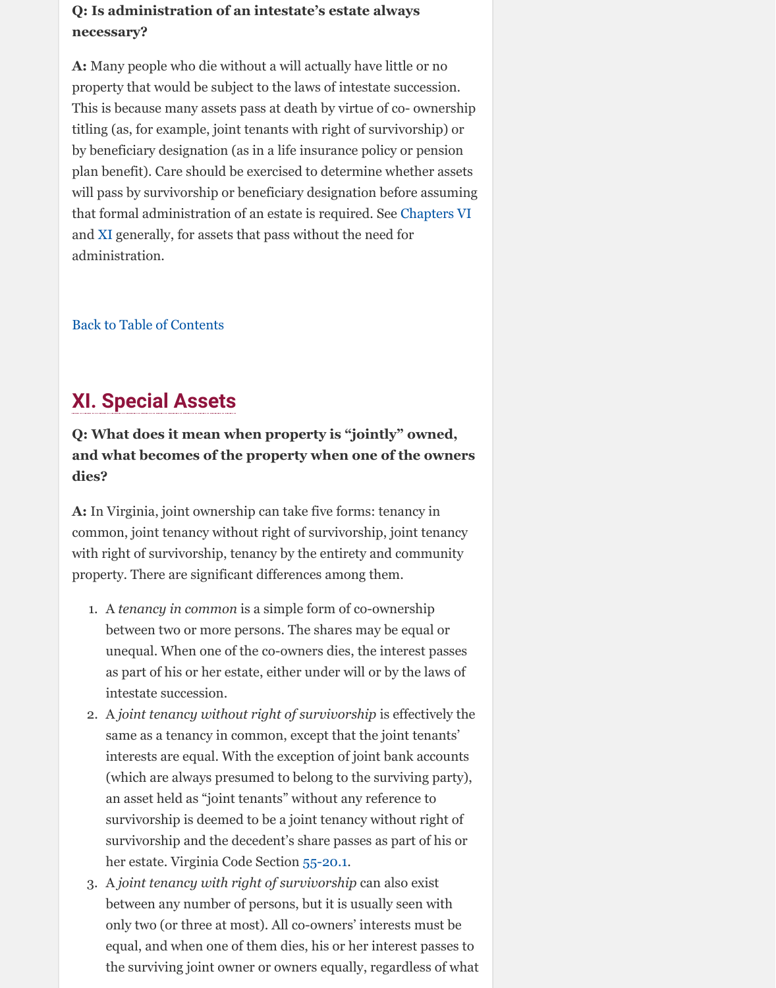# **XI. Special Assets**

## **Q: What does it mean when property is "jointly" owned, and what becomes of the property when one of the owners dies?**

**A:** In Virginia, joint ownership can take five forms: tenancy in common, joint tenancy without right of survivorship, j[oint tenancy](http://www.vba.org/?page=guide_estates#small) wit[h rig](http://www.vba.org/?page=guide_estates#assets)ht of survivorship, tenancy by the entirety and community property. There are significant differences among them.

- 1. A *tenancy in common* is a simple form of co-ownership between two or more persons. The shares may be equal or [unequal. When one](http://www.vba.org/?page=guide_estates#contents) of the co-owners dies, the interest passes as part of his or her estate, either under will or by the laws of intestate succession.
- 2. A *joint tenancy without right of survivorship* is effectively the same as a tenancy in common, except that the joint tenants' interests are equal. With the exception of joint bank accounts (which are always presumed to belong to the surviving party), an asset held as "joint tenants" without any reference to survivorship is deemed to be a joint tenancy without right of survivorship and the decedent's share passes as part of his or her estate. Virginia Code Section 55-20.1.
- 3. A *joint tenancy with right of survivorship* can also exist between any number of persons, but it is usually seen with only two (or three at most). All co-owners' interests must be equal, and when one of them dies, his or her interest passes to the surviving joint owner or owners equally, regardless of what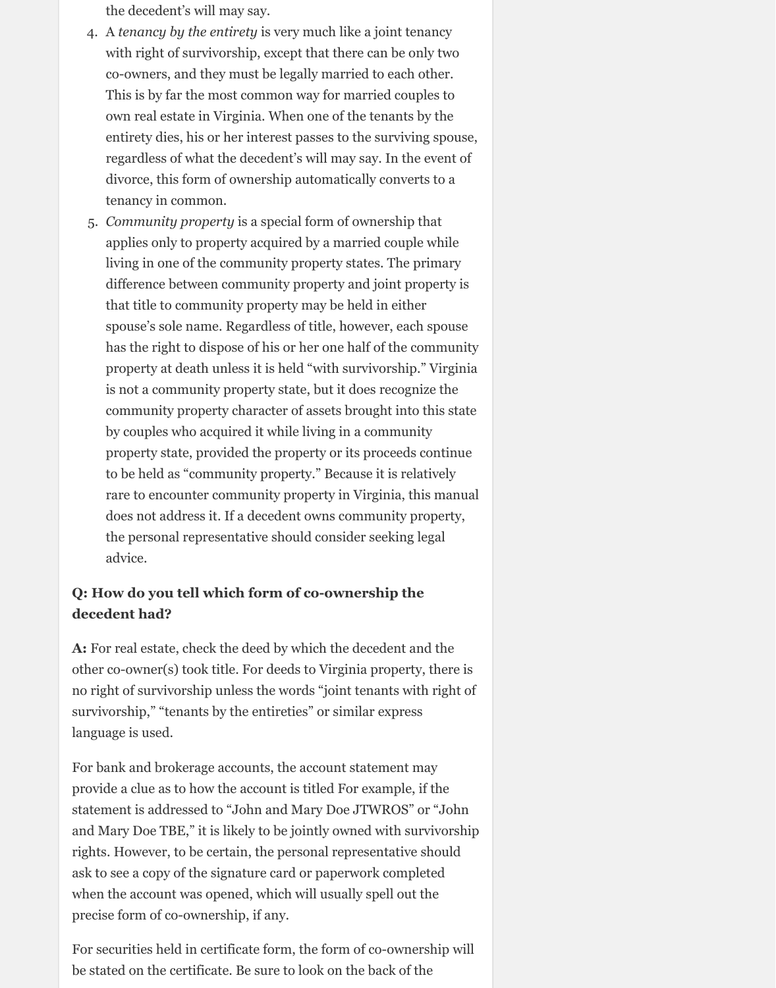the decedent's will may say.

- 4. A *tenancy by the entirety* is very much like a joint tenancy with right of survivorship, except that there can be only two co-owners, and they must be legally married to each other. This is by far the most common way for married couples to own real estate in Virginia. When one of the tenants by the entirety dies, his or her interest passes to the surviving spouse, regardless of what the decedent's will may say. In the event of divorce, this form of ownership automatically converts to a tenancy in common.
- 5. *Community property* is a special form of ownership that applies only to property acquired by a married couple while living in one of the community property states. The primary difference between community property and joint property is that title to community property may be held in either spouse's sole name. Regardless of title, however, each spouse has the right to dispose of his or her one half of the community property at death unless it is held "with survivorship." Virginia is not a community property state, but it does recognize the community property character of assets brought into this state by couples who acquired it while living in a community property state, provided the property or its proceeds continue to be held as "community property." Because it is relatively rare to encounter community property in Virginia, this manual does not address it. If a decedent owns community property, the personal representative should consider seeking legal advice.

### **Q: How do you tell which form of co-ownership the decedent had?**

**A:** For real estate, check the deed by which the decedent and the other co-owner(s) took title. For deeds to Virginia property, there is no right of survivorship unless the words "joint tenants with right of survivorship," "tenants by the entireties" or similar express language is used.

For bank and brokerage accounts, the account statement may provide a clue as to how the account is titled For example, if the statement is addressed to "John and Mary Doe JTWROS" or "John and Mary Doe TBE," it is likely to be jointly owned with survivorship rights. However, to be certain, the personal representative should ask to see a copy of the signature card or paperwork completed when the account was opened, which will usually spell out the precise form of co-ownership, if any.

For securities held in certificate form, the form of co-ownership will be stated on the certificate. Be sure to look on the back of the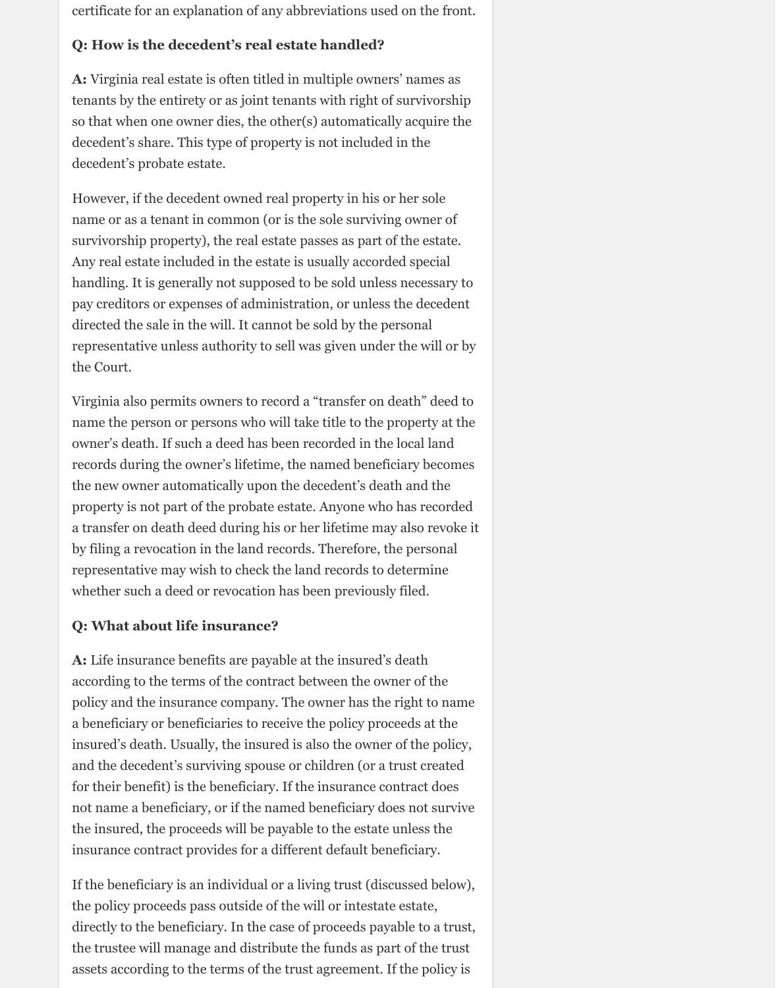certificate for an explanation of any abbreviations used on the front.

#### **Q: How is the decedent's real estate handled?**

**A:** Virginia real estate is often titled in multiple owners' names as tenants by the entirety or as joint tenants with right of survivorship so that when one owner dies, the other(s) automatically acquire the decedent's share. This type of property is not included in the decedent's probate estate.

However, if the decedent owned real property in his or her sole name or as a tenant in common (or is the sole surviving owner of survivorship property), the real estate passes as part of the estate. Any real estate included in the estate is usually accorded special handling. It is generally not supposed to be sold unless necessary to pay creditors or expenses of administration, or unless the decedent directed the sale in the will. It cannot be sold by the personal representative unless authority to sell was given under the will or by the Court.

Virginia also permits owners to record a "transfer on death" deed to name the person or persons who will take title to the property at the owner's death. If such a deed has been recorded in the local land records during the owner's lifetime, the named beneficiary becomes the new owner automatically upon the decedent's death and the property is not part of the probate estate. Anyone who has recorded a transfer on death deed during his or her lifetime may also revoke it by filing a revocation in the land records. Therefore, the personal representative may wish to check the land records to determine whether such a deed or revocation has been previously filed.

#### **Q: What about life insurance?**

**A:** Life insurance benefits are payable at the insured's death according to the terms of the contract between the owner of the policy and the insurance company. The owner has the right to name a beneficiary or beneficiaries to receive the policy proceeds at the insured's death. Usually, the insured is also the owner of the policy,

and the decedent's surviving spouse or children (or a trust created for their benefit) is the beneficiary. If the insurance contract does not name a beneficiary, or if the named beneficiary does not survive the insured, the proceeds will be payable to the estate unless the insurance contract provides for a different default beneficiary.

If the beneficiary is an individual or a living trust (discussed below), the policy proceeds pass outside of the will or intestate estate, directly to the beneficiary. In the case of proceeds payable to a trust, the trustee will manage and distribute the funds as part of the trust assets according to the terms of the trust agreement. If the policy is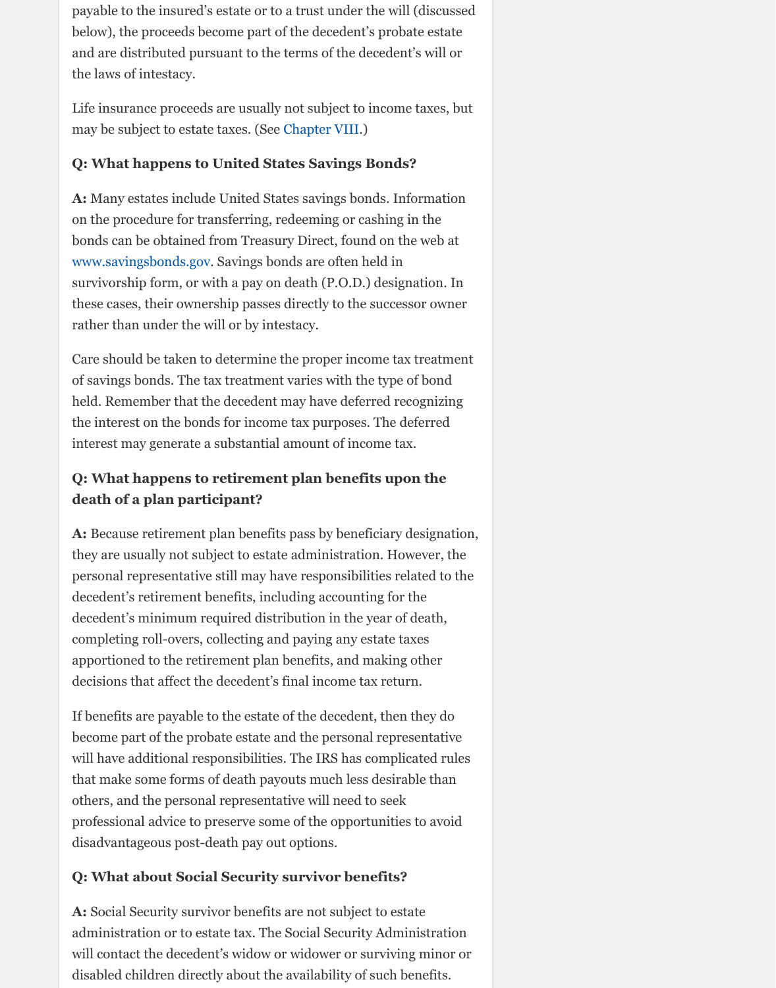rather than under the will or by intestacy.

Care should be taken to determine the proper income tax treatment of savings bonds. The tax treatment varies with the type of bond held. Remember that the decedent may have deferred recognizing the interest on the bonds for income tax purposes. The deferred interest may generate a substantial [amount of in](http://www.vba.org/?page=guide_estates#taxes)come tax.

## **Q: What happens to retirement plan benefits upon the death of a plan participant?**

**A:** Because retirement plan benefits pass by beneficiary designation, they are usually not subject to estate administration. However, the [personal representative](http://www.savingsbonds.gov/) still may have responsibilities related to the decedent's retirement benefits, including accounting for the decedent's minimum required distribution in the year of death, completing roll-overs, collecting and paying any estate taxes apportioned to the retirement plan benefits, and making other decisions that affect the decedent's final income tax return.

If benefits are payable to the estate of the decedent, then they do become part of the probate estate and the personal representative will have additional responsibilities. The IRS has complicated rules that make some forms of death payouts much less desirable than others, and the personal representative will need to seek professional advice to preserve some of the opportunities to avoid disadvantageous post-death pay out options.

### **Q: What about Social Security survivor benefits?**

**A:** Social Security survivor benefits are not subject to estate administration or to estate tax. The Social Security Administration will contact the decedent's widow or widower or surviving minor or disabled children directly about the availability of such benefits.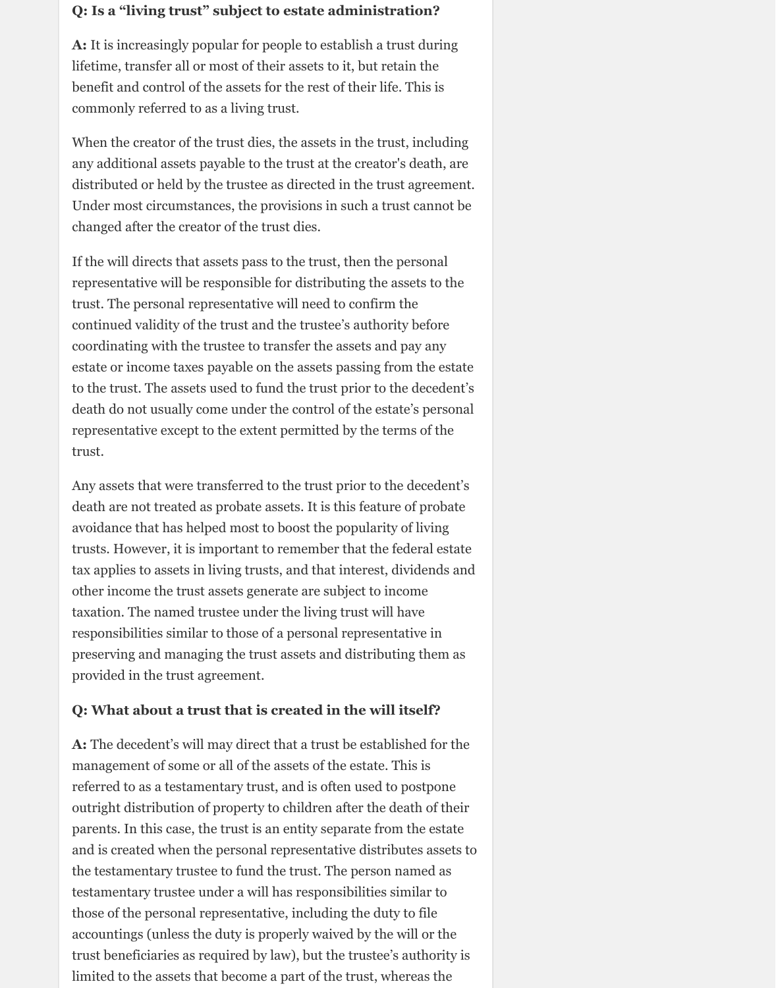#### **Q: Is a "living trust" subject to estate administration?**

**A:** It is increasingly popular for people to establish a trust during lifetime, transfer all or most of their assets to it, but retain the benefit and control of the assets for the rest of their life. This is commonly referred to as a living trust.

When the creator of the trust dies, the assets in the trust, including any additional assets payable to the trust at the creator's death, are distributed or held by the trustee as directed in the trust agreement. Under most circumstances, the provisions in such a trust cannot be changed after the creator of the trust dies.

If the will directs that assets pass to the trust, then the personal representative will be responsible for distributing the assets to the trust. The personal representative will need to confirm the continued validity of the trust and the trustee's authority before coordinating with the trustee to transfer the assets and pay any estate or income taxes payable on the assets passing from the estate to the trust. The assets used to fund the trust prior to the decedent's death do not usually come under the control of the estate's personal representative except to the extent permitted by the terms of the trust.

Any assets that were transferred to the trust prior to the decedent's death are not treated as probate assets. It is this feature of probate avoidance that has helped most to boost the popularity of living trusts. However, it is important to remember that the federal estate tax applies to assets in living trusts, and that interest, dividends and other income the trust assets generate are subject to income taxation. The named trustee under the living trust will have responsibilities similar to those of a personal representative in preserving and managing the trust assets and distributing them as provided in the trust agreement.

#### **Q: What about a trust that is created in the will itself?**

**A:** The decedent's will may direct that a trust be established for the

management of some or all of the assets of the estate. This is referred to as a testamentary trust, and is often used to postpone outright distribution of property to children after the death of their parents. In this case, the trust is an entity separate from the estate and is created when the personal representative distributes assets to the testamentary trustee to fund the trust. The person named as testamentary trustee under a will has responsibilities similar to those of the personal representative, including the duty to file accountings (unless the duty is properly waived by the will or the trust beneficiaries as required by law), but the trustee's authority is limited to the assets that become a part of the trust, whereas the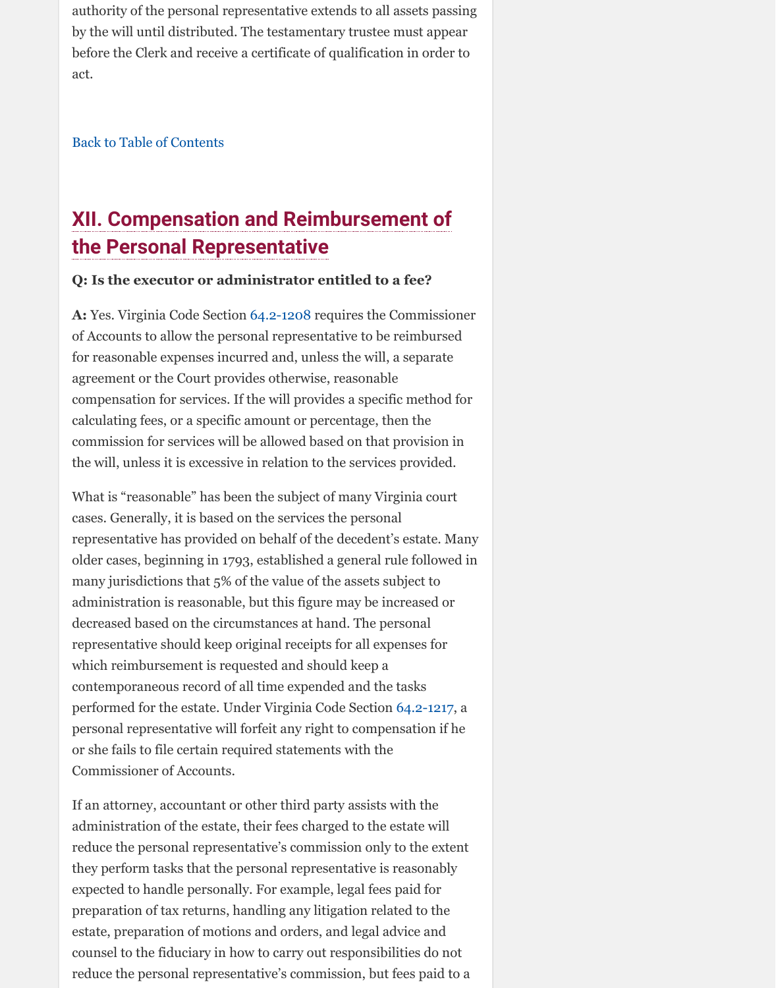**A:** Yes. Virginia Code Section 64.2-1208 requires the Commissioner of Accounts to allow the personal representative to be reimbursed for reasonable expenses incurred and, unless the will, a separate agreement or the Court provides otherwise, reasonable compensation for services. If the will provides a specific method for calculating fees, or a specific amount or percentage, then the commission for services will be allowed based on that provision in [the will, unless it is excess](http://www.vba.org/?page=guide_estates#contents)ive in relation to the services provided.

What is "reasonable" has been the subject of many Virginia court cases. Generally, it is based on the services the personal representative has provided on behalf of the decedent's estate. Many older cases, beginning in 1793, established a general rule followed in many jurisdictions that 5% of the value of the assets subject to administration is reasonable, but this figure may be increased or decreased based on the circumstances at hand. The personal representative should keep or[iginal recei](http://law.lis.virginia.gov/vacode/title64.2/chapter12/section64.2-1208/)pts for all expenses for which reimbursement is requested and should keep a contemporaneous record of all time expended and the tasks performed for the estate. Under Virginia Code Section 64.2-1217, a personal representative will forfeit any right to compensation if he or she fails to file certain required statements with the Commissioner of Accounts.

If an attorney, accountant or other third party assists with the administration of the estate, their fees charged to the estate will reduce the personal representative's commission only to the extent they perform tasks that the personal representative is reasonably expected to handle personally. For example, legal fees paid for preparation of tax returns, handling any litigation related to the estate, preparation of motions and orders, and legal advice and counsel to the fiduciary in how to carry out responsibilities do not reduce the personal representative's commission, but fees paid to a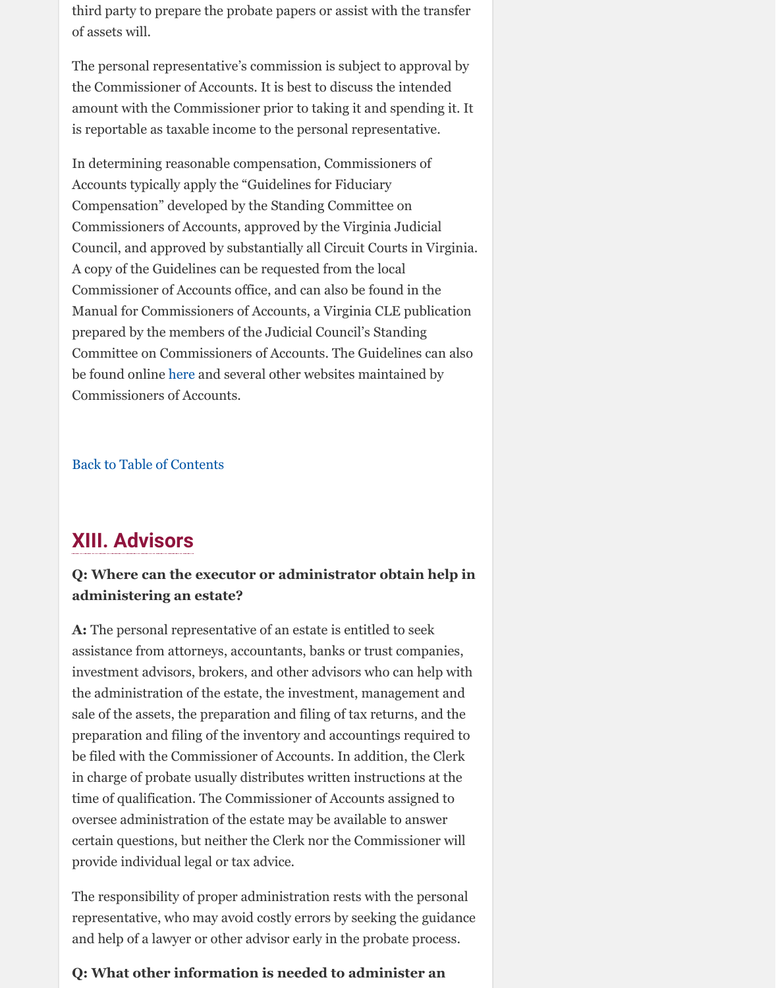prepared by the members of the Judicial Council's Standing Committee on Commissioners of Accounts. The Guidelines can also be found online here and several other websites maintained by Commissioners of Accounts.

Back to Table of Contents

## **XIII. Advisors**

## **Q: Where can the executor or administrator obtain help in administering an estate?**

**A:** The personal representative of an estate is entitled to seek assistance from attorneys, accountants, banks or trust companies, investment advisors, brokers, and other advisors who can help with the administrati[on of](http://www.henricocommissionerofaccounts.com/pdf/Fiduciary_Compensation_Guidelines.pdf) the estate, the investment, management and sale of the assets, the preparation and filing of tax returns, and the preparation and filing of the inventory and accountings required to be filed with the Commissioner of Accounts. In addition, the Clerk [in charge of probate usual](http://www.vba.org/?page=guide_estates#contents)ly distributes written instructions at the time of qualification. The Commissioner of Accounts assigned to oversee administration of the estate may be available to answer certain questions, but neither the Clerk nor the Commissioner will provide individual legal or tax advice.

The responsibility of proper administration rests with the personal representative, who may avoid costly errors by seeking the guidance and help of a lawyer or other advisor early in the probate process.

### **Q: What other information is needed to administer an**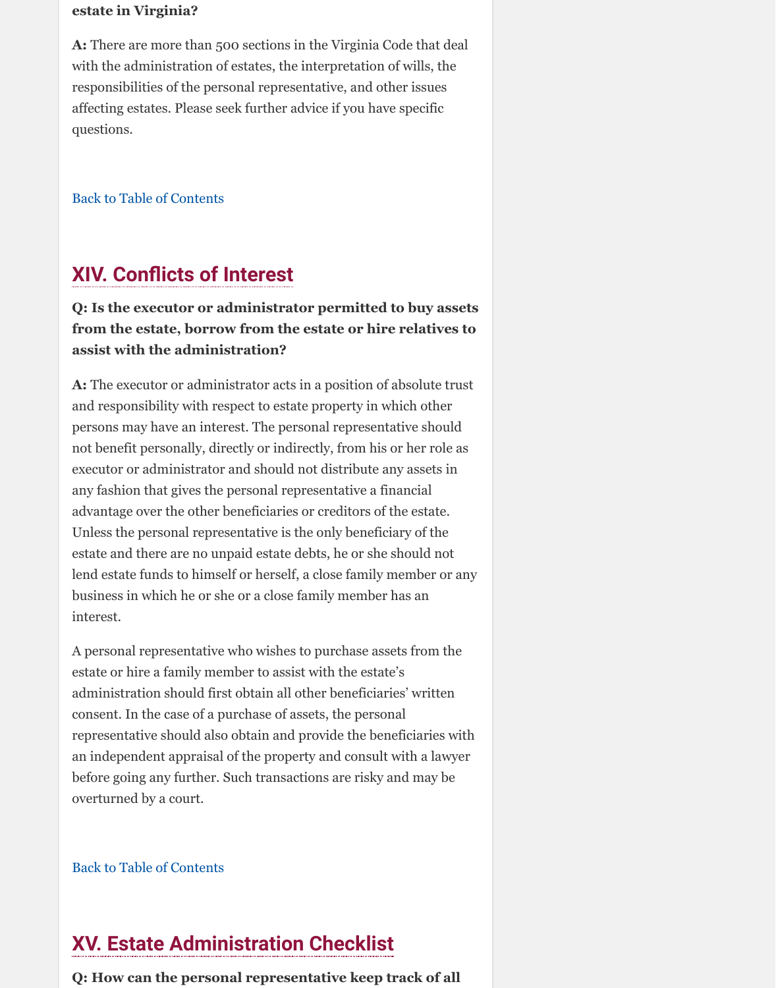## **from the estate, borrow from the estate or hire relatives to assist with the administration?**

**A:** The executor or administrator acts in a position of absolute trust and responsibility with respect to estate property in which other persons may have an interest. The personal representative should not benefit personally, directly or indirectly, from his or her role as executor or administrator and should not distribute any assets in any fashion that gives the personal representative a financial [advantage over the other b](http://www.vba.org/?page=guide_estates#contents)eneficiaries or creditors of the estate. Unless the personal representative is the only beneficiary of the estate and there are no unpaid estate debts, he or she should not lend estate funds to himself or herself, a close family member or any business in which he or she or a close family member has an interest.

A personal representative who wishes to purchase assets from the estate or hire a family member to assist with the estate's administration should first obtain all other beneficiaries' written consent. In the case of a purchase of assets, the personal representative should also obtain and provide the beneficiaries with an independent appraisal of the property and consult with a lawyer before going any further. Such transactions are risky and may be overturned by a court.

Back to Table of Contents

# **XV. Estate Administration Checklist**

**Q: How can the personal representative keep track of all**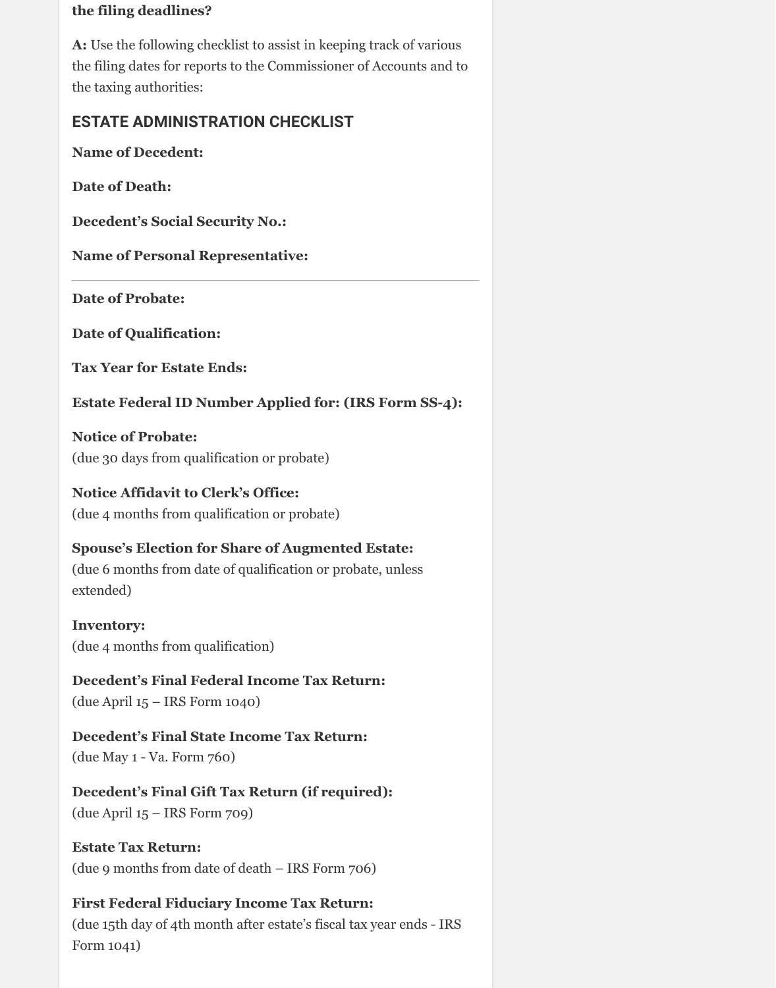#### **the filing deadlines?**

**A:** Use the following checklist to assist in keeping track of various the filing dates for reports to the Commissioner of Accounts and to the taxing authorities:

## **ESTATE ADMINISTRATION CHECKLIST**

**Name of Decedent:**

**Date of Death:**

**Decedent's Social Security No.:**

**Name of Personal Representative:**

**Date of Probate:**

**Date of Qualification:**

**Tax Year for Estate Ends:**

**Estate Federal ID Number Applied for: (IRS Form SS-4):**

**Notice of Probate:** (due 30 days from qualification or probate)

**Notice Affidavit to Clerk's Office:**  (due 4 months from qualification or probate)

**Spouse's Election for Share of Augmented Estate:**  (due 6 months from date of qualification or probate, unless extended)

**Inventory:** (due 4 months from qualification)

**Decedent's Final Federal Income Tax Return:** (due April 15 – IRS Form 1040)

**Decedent's Final State Income Tax Return:**

(due May 1 - Va. Form 760)

## **Decedent's Final Gift Tax Return (if required):**

(due April 15 – IRS Form 709)

#### **Estate Tax Return:**

(due 9 months from date of death – IRS Form 706)

#### **First Federal Fiduciary Income Tax Return:**

(due 15th day of 4th month after estate's fiscal tax year ends - IRS Form 1041)